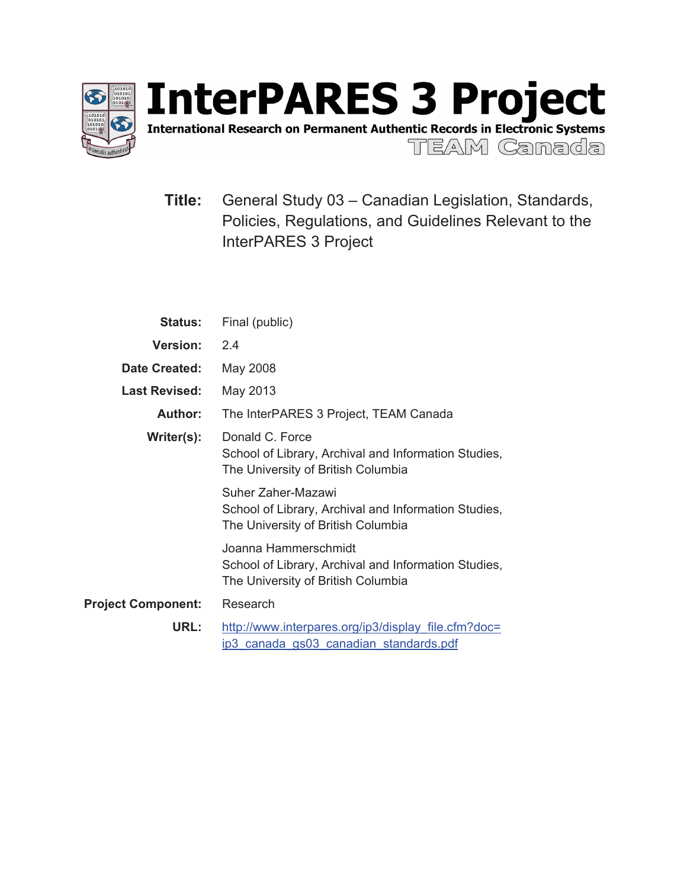

International Research on Permanent Authentic Records in Electronic Systems

TEAM Canada

**Title:** General Study 03 – Canadian Legislation, Standards, Policies, Regulations, and Guidelines Relevant to the InterPARES 3 Project

| <b>Status:</b>            | Final (public)                                                                                                     |  |  |
|---------------------------|--------------------------------------------------------------------------------------------------------------------|--|--|
| <b>Version:</b>           | 2.4                                                                                                                |  |  |
| Date Created:             | May 2008                                                                                                           |  |  |
| <b>Last Revised:</b>      | May 2013                                                                                                           |  |  |
| <b>Author:</b>            | The InterPARES 3 Project, TEAM Canada                                                                              |  |  |
| Writer(s):                | Donald C. Force<br>School of Library, Archival and Information Studies,<br>The University of British Columbia      |  |  |
|                           | Suher Zaher-Mazawi<br>School of Library, Archival and Information Studies,<br>The University of British Columbia   |  |  |
|                           | Joanna Hammerschmidt<br>School of Library, Archival and Information Studies,<br>The University of British Columbia |  |  |
| <b>Project Component:</b> | Research                                                                                                           |  |  |
| URL:                      | http://www.interpares.org/ip3/display file.cfm?doc=<br>ip3 canada gs03 canadian standards.pdf                      |  |  |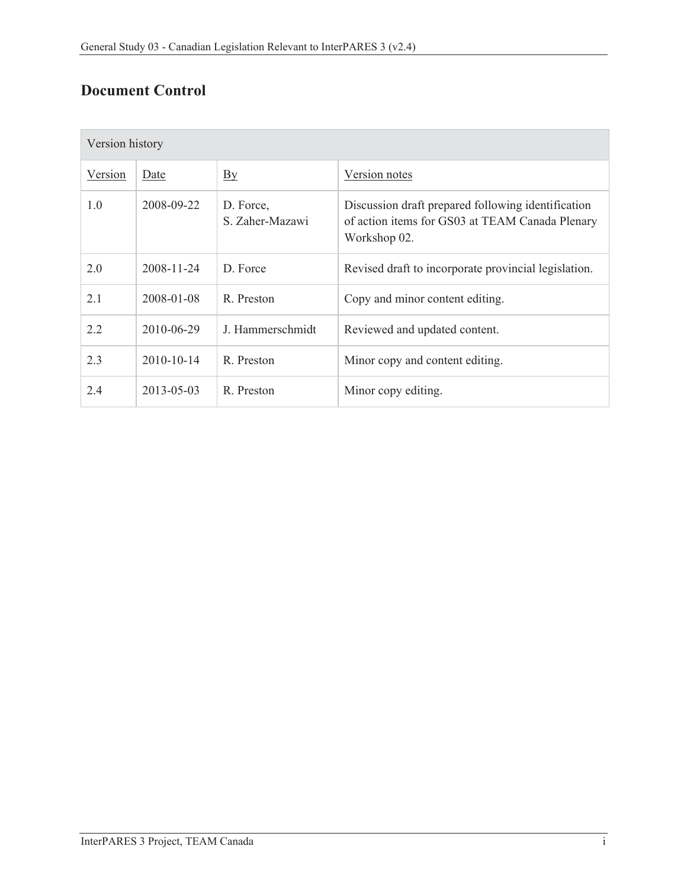# **Document Control**

| Version history |            |                              |                                                                                                                       |  |
|-----------------|------------|------------------------------|-----------------------------------------------------------------------------------------------------------------------|--|
| Version         | Date       | By                           | Version notes                                                                                                         |  |
| 1.0             | 2008-09-22 | D. Force,<br>S. Zaher-Mazawi | Discussion draft prepared following identification<br>of action items for GS03 at TEAM Canada Plenary<br>Workshop 02. |  |
| 2.0             | 2008-11-24 | D Force                      | Revised draft to incorporate provincial legislation.                                                                  |  |
| 2.1             | 2008-01-08 | R. Preston                   | Copy and minor content editing.                                                                                       |  |
| 2.2             | 2010-06-29 | J. Hammerschmidt             | Reviewed and updated content.                                                                                         |  |
| 2.3             | 2010-10-14 | R. Preston                   | Minor copy and content editing.                                                                                       |  |
| 2.4             | 2013-05-03 | R Preston                    | Minor copy editing.                                                                                                   |  |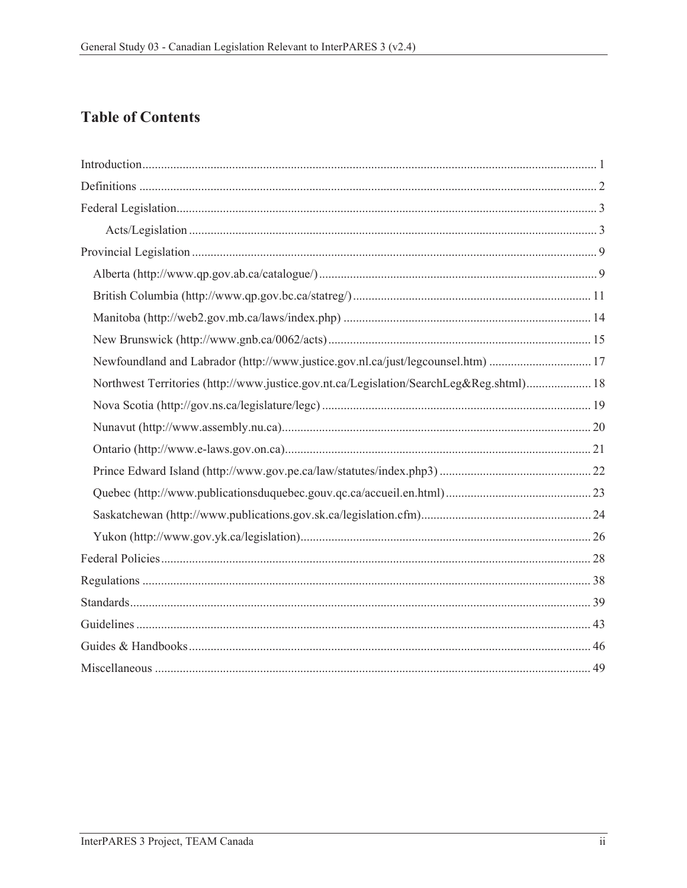## **Table of Contents**

| Newfoundland and Labrador (http://www.justice.gov.nl.ca/just/legcounsel.htm)  17        |  |
|-----------------------------------------------------------------------------------------|--|
| Northwest Territories (http://www.justice.gov.nt.ca/Legislation/SearchLeg&Reg.shtml) 18 |  |
|                                                                                         |  |
|                                                                                         |  |
|                                                                                         |  |
|                                                                                         |  |
|                                                                                         |  |
|                                                                                         |  |
|                                                                                         |  |
|                                                                                         |  |
|                                                                                         |  |
|                                                                                         |  |
|                                                                                         |  |
|                                                                                         |  |
|                                                                                         |  |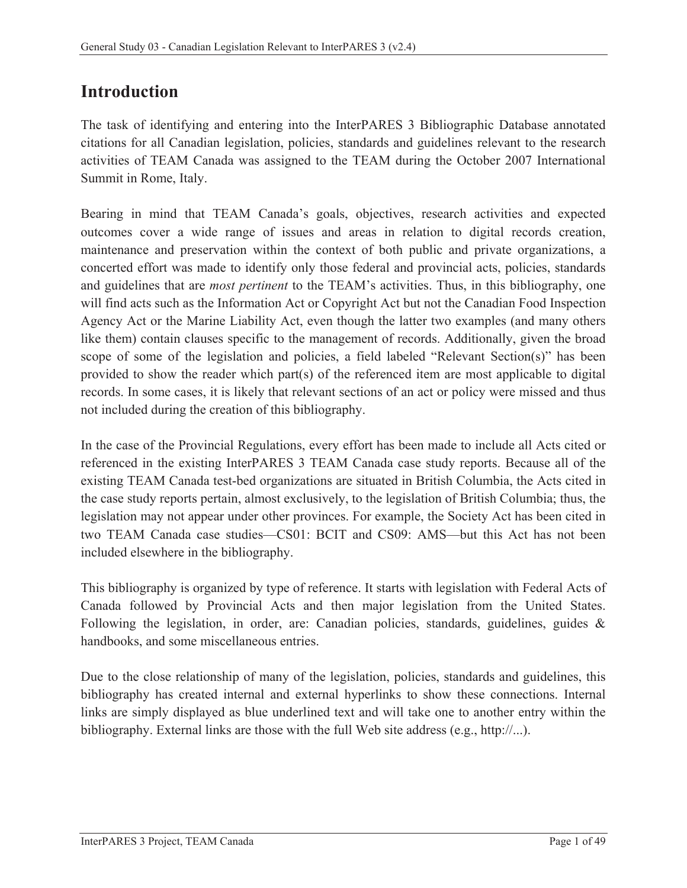# **Introduction**

The task of identifying and entering into the InterPARES 3 Bibliographic Database annotated citations for all Canadian legislation, policies, standards and guidelines relevant to the research activities of TEAM Canada was assigned to the TEAM during the October 2007 International Summit in Rome, Italy.

Bearing in mind that TEAM Canada's goals, objectives, research activities and expected outcomes cover a wide range of issues and areas in relation to digital records creation, maintenance and preservation within the context of both public and private organizations, a concerted effort was made to identify only those federal and provincial acts, policies, standards and guidelines that are *most pertinent* to the TEAM's activities. Thus, in this bibliography, one will find acts such as the Information Act or Copyright Act but not the Canadian Food Inspection Agency Act or the Marine Liability Act, even though the latter two examples (and many others like them) contain clauses specific to the management of records. Additionally, given the broad scope of some of the legislation and policies, a field labeled "Relevant Section(s)" has been provided to show the reader which part(s) of the referenced item are most applicable to digital records. In some cases, it is likely that relevant sections of an act or policy were missed and thus not included during the creation of this bibliography.

In the case of the Provincial Regulations, every effort has been made to include all Acts cited or referenced in the existing InterPARES 3 TEAM Canada case study reports. Because all of the existing TEAM Canada test-bed organizations are situated in British Columbia, the Acts cited in the case study reports pertain, almost exclusively, to the legislation of British Columbia; thus, the legislation may not appear under other provinces. For example, the Society Act has been cited in two TEAM Canada case studies—CS01: BCIT and CS09: AMS—but this Act has not been included elsewhere in the bibliography.

This bibliography is organized by type of reference. It starts with legislation with Federal Acts of Canada followed by Provincial Acts and then major legislation from the United States. Following the legislation, in order, are: Canadian policies, standards, guidelines, guides & handbooks, and some miscellaneous entries.

Due to the close relationship of many of the legislation, policies, standards and guidelines, this bibliography has created internal and external hyperlinks to show these connections. Internal links are simply displayed as blue underlined text and will take one to another entry within the bibliography. External links are those with the full Web site address (e.g., http://...).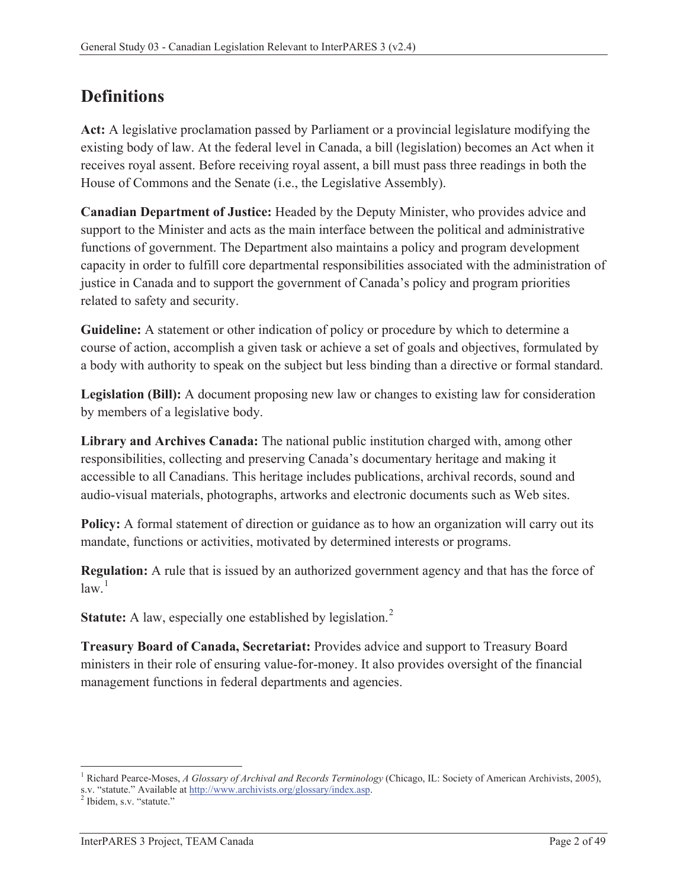# **Definitions**

**Act:** A legislative proclamation passed by Parliament or a provincial legislature modifying the existing body of law. At the federal level in Canada, a bill (legislation) becomes an Act when it receives royal assent. Before receiving royal assent, a bill must pass three readings in both the House of Commons and the Senate (i.e., the Legislative Assembly).

**Canadian Department of Justice:** Headed by the Deputy Minister, who provides advice and support to the Minister and acts as the main interface between the political and administrative functions of government. The Department also maintains a policy and program development capacity in order to fulfill core departmental responsibilities associated with the administration of justice in Canada and to support the government of Canada's policy and program priorities related to safety and security.

**Guideline:** A statement or other indication of policy or procedure by which to determine a course of action, accomplish a given task or achieve a set of goals and objectives, formulated by a body with authority to speak on the subject but less binding than a directive or formal standard.

**Legislation (Bill):** A document proposing new law or changes to existing law for consideration by members of a legislative body.

**Library and Archives Canada:** The national public institution charged with, among other responsibilities, collecting and preserving Canada's documentary heritage and making it accessible to all Canadians. This heritage includes publications, archival records, sound and audio-visual materials, photographs, artworks and electronic documents such as Web sites.

**Policy:** A formal statement of direction or guidance as to how an organization will carry out its mandate, functions or activities, motivated by determined interests or programs.

**Regulation:** A rule that is issued by an authorized government agency and that has the force of  $law<sup>1</sup>$ 

**Statute:** A law, especially one established by legislation.<sup>2</sup>

**Treasury Board of Canada, Secretariat:** Provides advice and support to Treasury Board ministers in their role of ensuring value-for-money. It also provides oversight of the financial management functions in federal departments and agencies.

 $\overline{a}$ 

<sup>&</sup>lt;sup>1</sup> Richard Pearce-Moses, *A Glossary of Archival and Records Terminology* (Chicago, IL: Society of American Archivists, 2005), s.v. "statute." Available at http://www.archivists.org/glossary/index.asp.

<sup>&</sup>lt;sup>2</sup> Ibidem, s.v. "statute."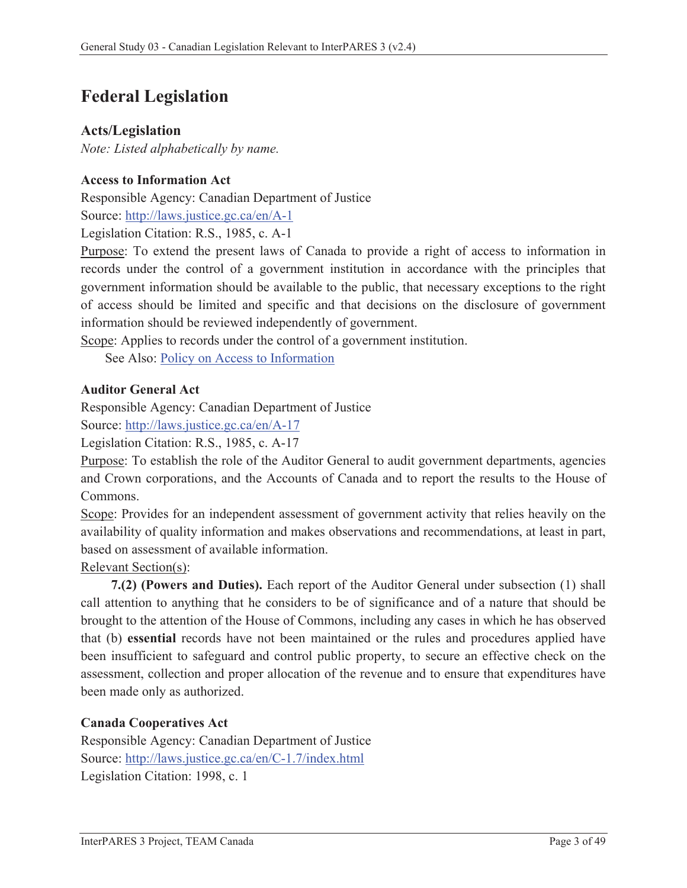# **Federal Legislation**

## **Acts/Legislation**

*Note: Listed alphabetically by name.*

## **Access to Information Act**

Responsible Agency: Canadian Department of Justice Source: http://laws.justice.gc.ca/en/A-1

Legislation Citation: R.S., 1985, c. A-1

Purpose: To extend the present laws of Canada to provide a right of access to information in records under the control of a government institution in accordance with the principles that government information should be available to the public, that necessary exceptions to the right of access should be limited and specific and that decisions on the disclosure of government information should be reviewed independently of government.

Scope: Applies to records under the control of a government institution.

See Also: Policy on Access to Information

### **Auditor General Act**

Responsible Agency: Canadian Department of Justice

Source: http://laws.justice.gc.ca/en/A-17

Legislation Citation: R.S., 1985, c. A-17

Purpose: To establish the role of the Auditor General to audit government departments, agencies and Crown corporations, and the Accounts of Canada and to report the results to the House of Commons.

Scope: Provides for an independent assessment of government activity that relies heavily on the availability of quality information and makes observations and recommendations, at least in part, based on assessment of available information.

Relevant Section(s):

**7.(2) (Powers and Duties).** Each report of the Auditor General under subsection (1) shall call attention to anything that he considers to be of significance and of a nature that should be brought to the attention of the House of Commons, including any cases in which he has observed that (b) **essential** records have not been maintained or the rules and procedures applied have been insufficient to safeguard and control public property, to secure an effective check on the assessment, collection and proper allocation of the revenue and to ensure that expenditures have been made only as authorized.

#### **Canada Cooperatives Act**

Responsible Agency: Canadian Department of Justice Source: http://laws.justice.gc.ca/en/C-1.7/index.html Legislation Citation: 1998, c. 1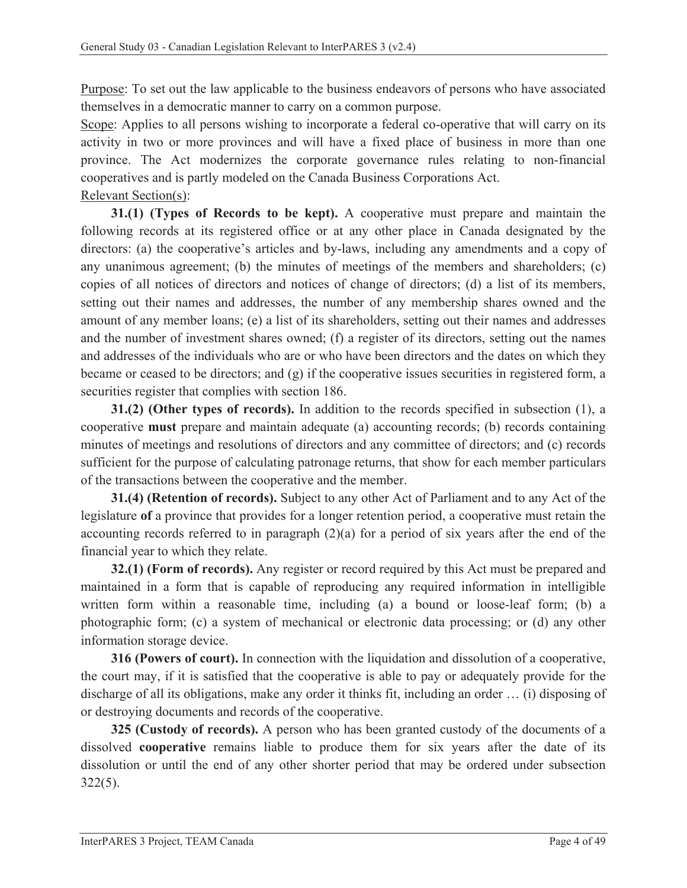Purpose: To set out the law applicable to the business endeavors of persons who have associated themselves in a democratic manner to carry on a common purpose.

Scope: Applies to all persons wishing to incorporate a federal co-operative that will carry on its activity in two or more provinces and will have a fixed place of business in more than one province. The Act modernizes the corporate governance rules relating to non-financial cooperatives and is partly modeled on the Canada Business Corporations Act.

Relevant Section(s):

**31.(1) (Types of Records to be kept).** A cooperative must prepare and maintain the following records at its registered office or at any other place in Canada designated by the directors: (a) the cooperative's articles and by-laws, including any amendments and a copy of any unanimous agreement; (b) the minutes of meetings of the members and shareholders; (c) copies of all notices of directors and notices of change of directors; (d) a list of its members, setting out their names and addresses, the number of any membership shares owned and the amount of any member loans; (e) a list of its shareholders, setting out their names and addresses and the number of investment shares owned; (f) a register of its directors, setting out the names and addresses of the individuals who are or who have been directors and the dates on which they became or ceased to be directors; and (g) if the cooperative issues securities in registered form, a securities register that complies with section 186.

**31.(2) (Other types of records).** In addition to the records specified in subsection (1), a cooperative **must** prepare and maintain adequate (a) accounting records; (b) records containing minutes of meetings and resolutions of directors and any committee of directors; and (c) records sufficient for the purpose of calculating patronage returns, that show for each member particulars of the transactions between the cooperative and the member.

**31.(4) (Retention of records).** Subject to any other Act of Parliament and to any Act of the legislature **of** a province that provides for a longer retention period, a cooperative must retain the accounting records referred to in paragraph (2)(a) for a period of six years after the end of the financial year to which they relate.

**32.(1) (Form of records).** Any register or record required by this Act must be prepared and maintained in a form that is capable of reproducing any required information in intelligible written form within a reasonable time, including (a) a bound or loose-leaf form; (b) a photographic form; (c) a system of mechanical or electronic data processing; or (d) any other information storage device.

**316 (Powers of court).** In connection with the liquidation and dissolution of a cooperative, the court may, if it is satisfied that the cooperative is able to pay or adequately provide for the discharge of all its obligations, make any order it thinks fit, including an order … (i) disposing of or destroying documents and records of the cooperative.

**325 (Custody of records).** A person who has been granted custody of the documents of a dissolved **cooperative** remains liable to produce them for six years after the date of its dissolution or until the end of any other shorter period that may be ordered under subsection 322(5).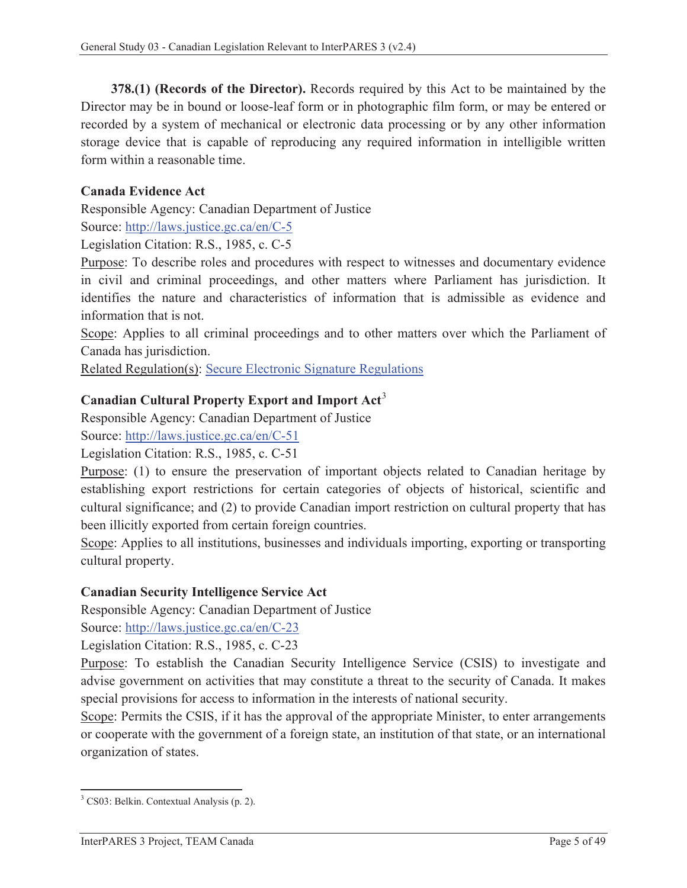**378.(1) (Records of the Director).** Records required by this Act to be maintained by the Director may be in bound or loose-leaf form or in photographic film form, or may be entered or recorded by a system of mechanical or electronic data processing or by any other information storage device that is capable of reproducing any required information in intelligible written form within a reasonable time.

### **Canada Evidence Act**

Responsible Agency: Canadian Department of Justice

Source: http://laws.justice.gc.ca/en/C-5

Legislation Citation: R.S., 1985, c. C-5

Purpose: To describe roles and procedures with respect to witnesses and documentary evidence in civil and criminal proceedings, and other matters where Parliament has jurisdiction. It identifies the nature and characteristics of information that is admissible as evidence and information that is not.

Scope: Applies to all criminal proceedings and to other matters over which the Parliament of Canada has jurisdiction.

Related Regulation(s): Secure Electronic Signature Regulations

### **Canadian Cultural Property Export and Import Act**<sup>3</sup>

Responsible Agency: Canadian Department of Justice

Source: http://laws.justice.gc.ca/en/C-51

Legislation Citation: R.S., 1985, c. C-51

Purpose: (1) to ensure the preservation of important objects related to Canadian heritage by establishing export restrictions for certain categories of objects of historical, scientific and cultural significance; and (2) to provide Canadian import restriction on cultural property that has been illicitly exported from certain foreign countries.

Scope: Applies to all institutions, businesses and individuals importing, exporting or transporting cultural property.

#### **Canadian Security Intelligence Service Act**

Responsible Agency: Canadian Department of Justice

Source: http://laws.justice.gc.ca/en/C-23

Legislation Citation: R.S., 1985, c. C-23

Purpose: To establish the Canadian Security Intelligence Service (CSIS) to investigate and advise government on activities that may constitute a threat to the security of Canada. It makes special provisions for access to information in the interests of national security.

Scope: Permits the CSIS, if it has the approval of the appropriate Minister, to enter arrangements or cooperate with the government of a foreign state, an institution of that state, or an international organization of states.

 3 CS03: Belkin. Contextual Analysis (p. 2).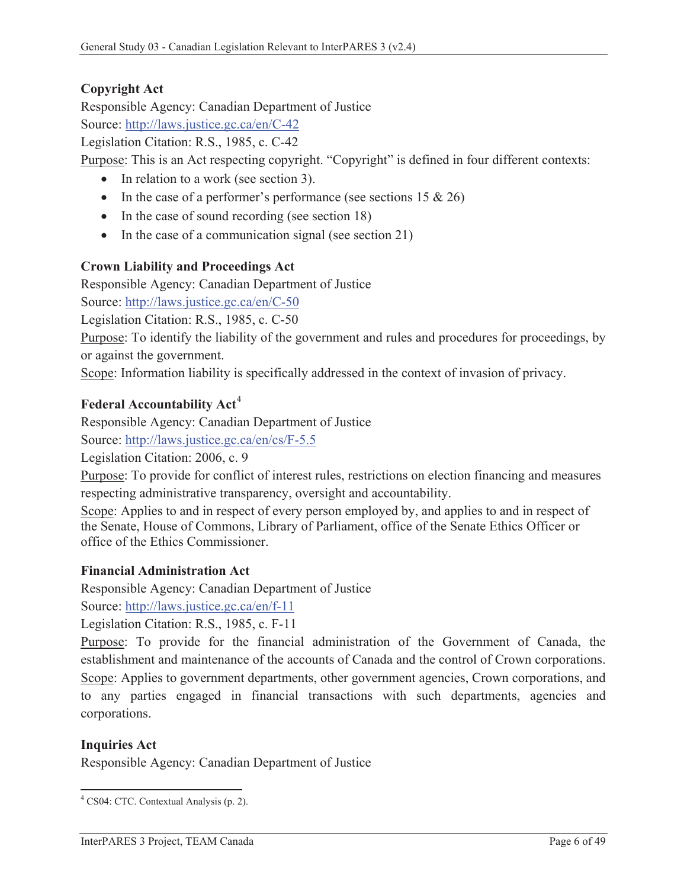## **Copyright Act**

Responsible Agency: Canadian Department of Justice

Source: http://laws.justice.gc.ca/en/C-42

Legislation Citation: R.S., 1985, c. C-42

Purpose: This is an Act respecting copyright. "Copyright" is defined in four different contexts:

- $\bullet$  In relation to a work (see section 3).
- In the case of a performer's performance (see sections  $15 \& 26$ )
- $\bullet$  In the case of sound recording (see section 18)
- $\bullet$  In the case of a communication signal (see section 21)

## **Crown Liability and Proceedings Act**

Responsible Agency: Canadian Department of Justice

Source: http://laws.justice.gc.ca/en/C-50

Legislation Citation: R.S., 1985, c. C-50

Purpose: To identify the liability of the government and rules and procedures for proceedings, by or against the government.

Scope: Information liability is specifically addressed in the context of invasion of privacy.

## **Federal Accountability Act<sup>4</sup>**

Responsible Agency: Canadian Department of Justice

Source: http://laws.justice.gc.ca/en/cs/F-5.5

Legislation Citation: 2006, c. 9

Purpose: To provide for conflict of interest rules, restrictions on election financing and measures respecting administrative transparency, oversight and accountability.

Scope: Applies to and in respect of every person employed by, and applies to and in respect of the Senate, House of Commons, Library of Parliament, office of the Senate Ethics Officer or office of the Ethics Commissioner.

## **Financial Administration Act**

Responsible Agency: Canadian Department of Justice

Source: http://laws.justice.gc.ca/en/f-11

Legislation Citation: R.S., 1985, c. F-11

Purpose: To provide for the financial administration of the Government of Canada, the establishment and maintenance of the accounts of Canada and the control of Crown corporations. Scope: Applies to government departments, other government agencies, Crown corporations, and to any parties engaged in financial transactions with such departments, agencies and corporations.

## **Inquiries Act**

Responsible Agency: Canadian Department of Justice

 4 CS04: CTC. Contextual Analysis (p. 2).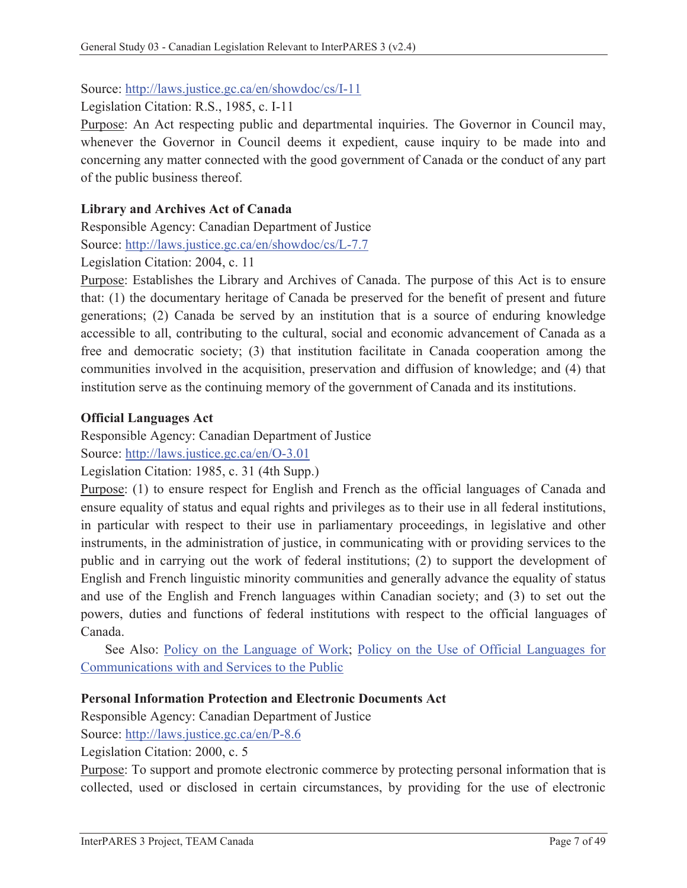#### Source: http://laws.justice.gc.ca/en/showdoc/cs/I-11

Legislation Citation: R.S., 1985, c. I-11

Purpose: An Act respecting public and departmental inquiries. The Governor in Council may, whenever the Governor in Council deems it expedient, cause inquiry to be made into and concerning any matter connected with the good government of Canada or the conduct of any part of the public business thereof.

#### **Library and Archives Act of Canada**

Responsible Agency: Canadian Department of Justice

Source: http://laws.justice.gc.ca/en/showdoc/cs/L-7.7

Legislation Citation: 2004, c. 11

Purpose: Establishes the Library and Archives of Canada. The purpose of this Act is to ensure that: (1) the documentary heritage of Canada be preserved for the benefit of present and future generations; (2) Canada be served by an institution that is a source of enduring knowledge accessible to all, contributing to the cultural, social and economic advancement of Canada as a free and democratic society; (3) that institution facilitate in Canada cooperation among the communities involved in the acquisition, preservation and diffusion of knowledge; and (4) that institution serve as the continuing memory of the government of Canada and its institutions.

#### **Official Languages Act**

Responsible Agency: Canadian Department of Justice

Source: http://laws.justice.gc.ca/en/O-3.01

Legislation Citation: 1985, c. 31 (4th Supp.)

Purpose: (1) to ensure respect for English and French as the official languages of Canada and ensure equality of status and equal rights and privileges as to their use in all federal institutions, in particular with respect to their use in parliamentary proceedings, in legislative and other instruments, in the administration of justice, in communicating with or providing services to the public and in carrying out the work of federal institutions; (2) to support the development of English and French linguistic minority communities and generally advance the equality of status and use of the English and French languages within Canadian society; and (3) to set out the powers, duties and functions of federal institutions with respect to the official languages of Canada.

See Also: Policy on the Language of Work; Policy on the Use of Official Languages for Communications with and Services to the Public

#### **Personal Information Protection and Electronic Documents Act**

Responsible Agency: Canadian Department of Justice

Source: http://laws.justice.gc.ca/en/P-8.6

Legislation Citation: 2000, c. 5

Purpose: To support and promote electronic commerce by protecting personal information that is collected, used or disclosed in certain circumstances, by providing for the use of electronic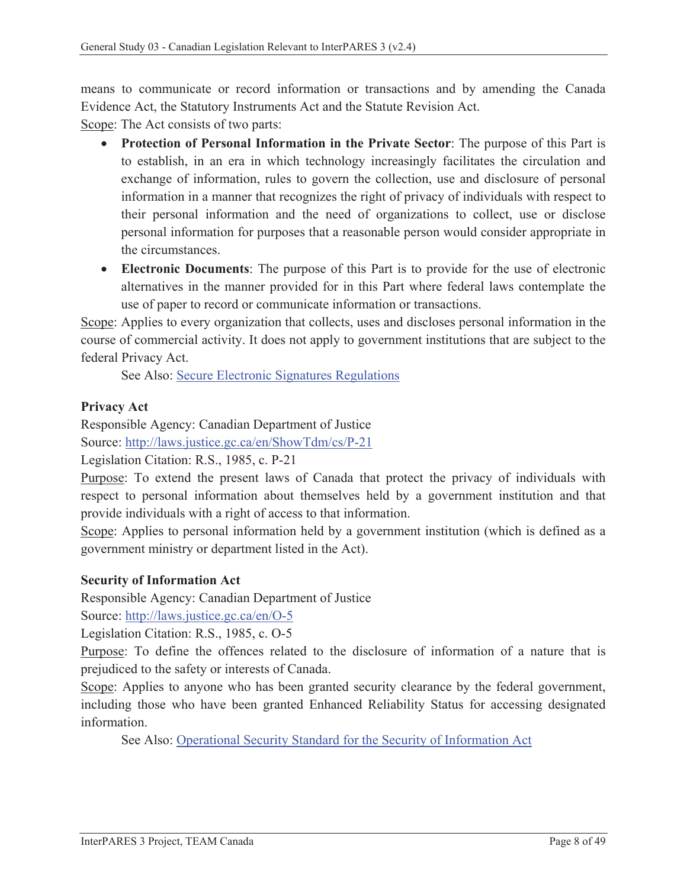means to communicate or record information or transactions and by amending the Canada Evidence Act, the Statutory Instruments Act and the Statute Revision Act.

Scope: The Act consists of two parts:

- **Protection of Personal Information in the Private Sector**: The purpose of this Part is to establish, in an era in which technology increasingly facilitates the circulation and exchange of information, rules to govern the collection, use and disclosure of personal information in a manner that recognizes the right of privacy of individuals with respect to their personal information and the need of organizations to collect, use or disclose personal information for purposes that a reasonable person would consider appropriate in the circumstances.
- **Electronic Documents**: The purpose of this Part is to provide for the use of electronic alternatives in the manner provided for in this Part where federal laws contemplate the use of paper to record or communicate information or transactions.

Scope: Applies to every organization that collects, uses and discloses personal information in the course of commercial activity. It does not apply to government institutions that are subject to the federal Privacy Act.

See Also: Secure Electronic Signatures Regulations

## **Privacy Act**

Responsible Agency: Canadian Department of Justice Source: http://laws.justice.gc.ca/en/ShowTdm/cs/P-21

Legislation Citation: R.S., 1985, c. P-21

Purpose: To extend the present laws of Canada that protect the privacy of individuals with respect to personal information about themselves held by a government institution and that provide individuals with a right of access to that information.

Scope: Applies to personal information held by a government institution (which is defined as a government ministry or department listed in the Act).

#### **Security of Information Act**

Responsible Agency: Canadian Department of Justice

Source: http://laws.justice.gc.ca/en/O-5

Legislation Citation: R.S., 1985, c. O-5

Purpose: To define the offences related to the disclosure of information of a nature that is prejudiced to the safety or interests of Canada.

Scope: Applies to anyone who has been granted security clearance by the federal government, including those who have been granted Enhanced Reliability Status for accessing designated information.

See Also: Operational Security Standard for the Security of Information Act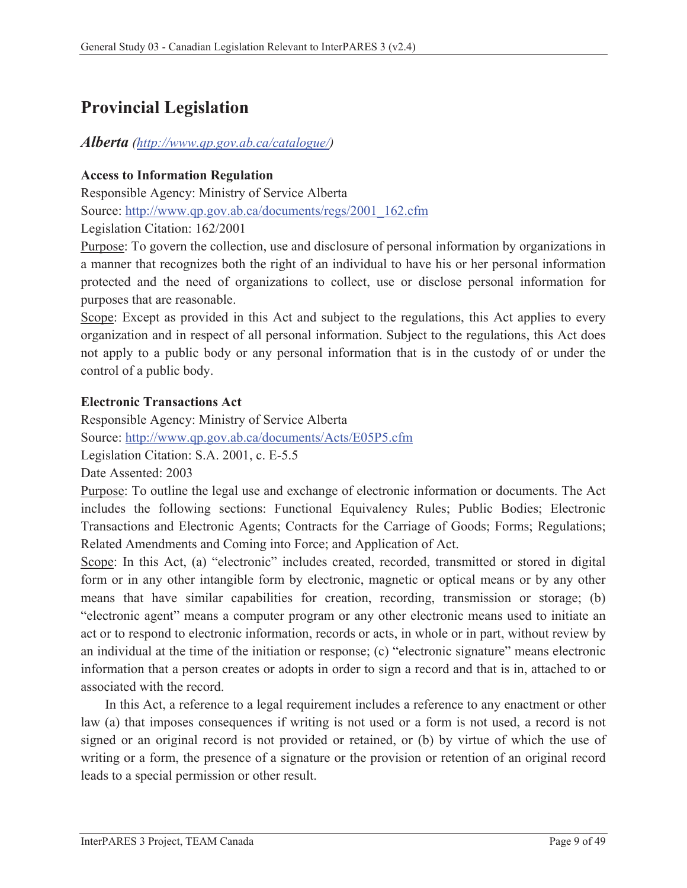# **Provincial Legislation**

## *Alberta (http://www.qp.gov.ab.ca/catalogue/)*

## **Access to Information Regulation**

Responsible Agency: Ministry of Service Alberta Source: http://www.qp.gov.ab.ca/documents/regs/2001\_162.cfm Legislation Citation: 162/2001

Purpose: To govern the collection, use and disclosure of personal information by organizations in a manner that recognizes both the right of an individual to have his or her personal information protected and the need of organizations to collect, use or disclose personal information for purposes that are reasonable.

Scope: Except as provided in this Act and subject to the regulations, this Act applies to every organization and in respect of all personal information. Subject to the regulations, this Act does not apply to a public body or any personal information that is in the custody of or under the control of a public body.

## **Electronic Transactions Act**

Responsible Agency: Ministry of Service Alberta Source: http://www.qp.gov.ab.ca/documents/Acts/E05P5.cfm Legislation Citation: S.A. 2001, c. E-5.5

Date Assented: 2003

Purpose: To outline the legal use and exchange of electronic information or documents. The Act includes the following sections: Functional Equivalency Rules; Public Bodies; Electronic Transactions and Electronic Agents; Contracts for the Carriage of Goods; Forms; Regulations; Related Amendments and Coming into Force; and Application of Act.

Scope: In this Act, (a) "electronic" includes created, recorded, transmitted or stored in digital form or in any other intangible form by electronic, magnetic or optical means or by any other means that have similar capabilities for creation, recording, transmission or storage; (b) "electronic agent" means a computer program or any other electronic means used to initiate an act or to respond to electronic information, records or acts, in whole or in part, without review by an individual at the time of the initiation or response; (c) "electronic signature" means electronic information that a person creates or adopts in order to sign a record and that is in, attached to or associated with the record.

In this Act, a reference to a legal requirement includes a reference to any enactment or other law (a) that imposes consequences if writing is not used or a form is not used, a record is not signed or an original record is not provided or retained, or (b) by virtue of which the use of writing or a form, the presence of a signature or the provision or retention of an original record leads to a special permission or other result.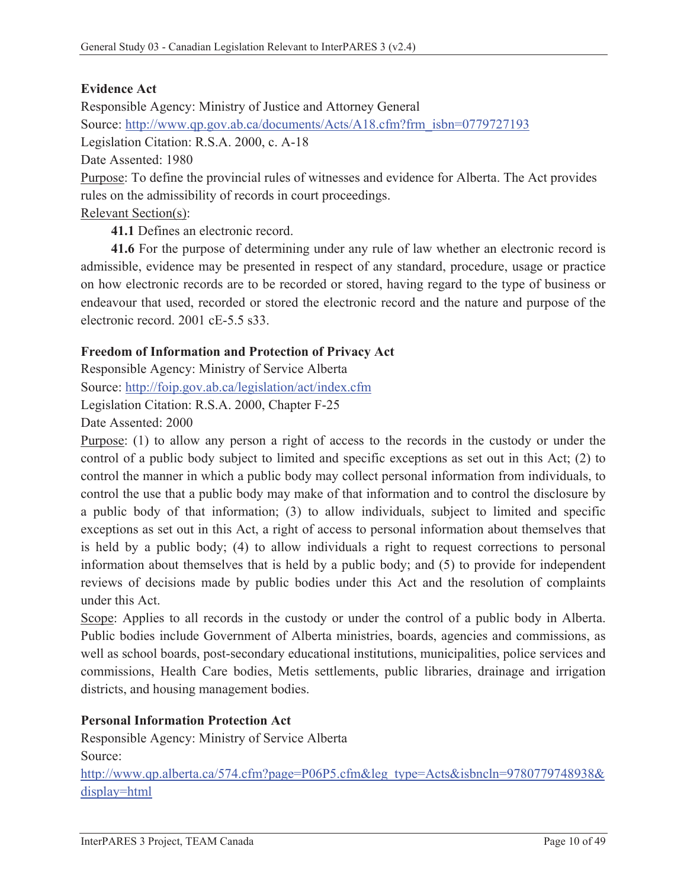## **Evidence Act**

Responsible Agency: Ministry of Justice and Attorney General Source: http://www.qp.gov.ab.ca/documents/Acts/A18.cfm?frm\_isbn=0779727193 Legislation Citation: R.S.A. 2000, c. A-18 Date Assented: 1980 Purpose: To define the provincial rules of witnesses and evidence for Alberta. The Act provides rules on the admissibility of records in court proceedings. Relevant Section(s):

**41.1** Defines an electronic record.

**41.6** For the purpose of determining under any rule of law whether an electronic record is admissible, evidence may be presented in respect of any standard, procedure, usage or practice on how electronic records are to be recorded or stored, having regard to the type of business or endeavour that used, recorded or stored the electronic record and the nature and purpose of the electronic record. 2001 cE-5.5 s33.

#### **Freedom of Information and Protection of Privacy Act**

Responsible Agency: Ministry of Service Alberta Source: http://foip.gov.ab.ca/legislation/act/index.cfm Legislation Citation: R.S.A. 2000, Chapter F-25

Date Assented: 2000

Purpose: (1) to allow any person a right of access to the records in the custody or under the control of a public body subject to limited and specific exceptions as set out in this Act; (2) to control the manner in which a public body may collect personal information from individuals, to control the use that a public body may make of that information and to control the disclosure by a public body of that information; (3) to allow individuals, subject to limited and specific exceptions as set out in this Act, a right of access to personal information about themselves that is held by a public body; (4) to allow individuals a right to request corrections to personal information about themselves that is held by a public body; and (5) to provide for independent reviews of decisions made by public bodies under this Act and the resolution of complaints under this Act.

Scope: Applies to all records in the custody or under the control of a public body in Alberta. Public bodies include Government of Alberta ministries, boards, agencies and commissions, as well as school boards, post-secondary educational institutions, municipalities, police services and commissions, Health Care bodies, Metis settlements, public libraries, drainage and irrigation districts, and housing management bodies.

#### **Personal Information Protection Act**

Responsible Agency: Ministry of Service Alberta Source:

http://www.qp.alberta.ca/574.cfm?page=P06P5.cfm&leg\_type=Acts&isbncln=9780779748938& display=html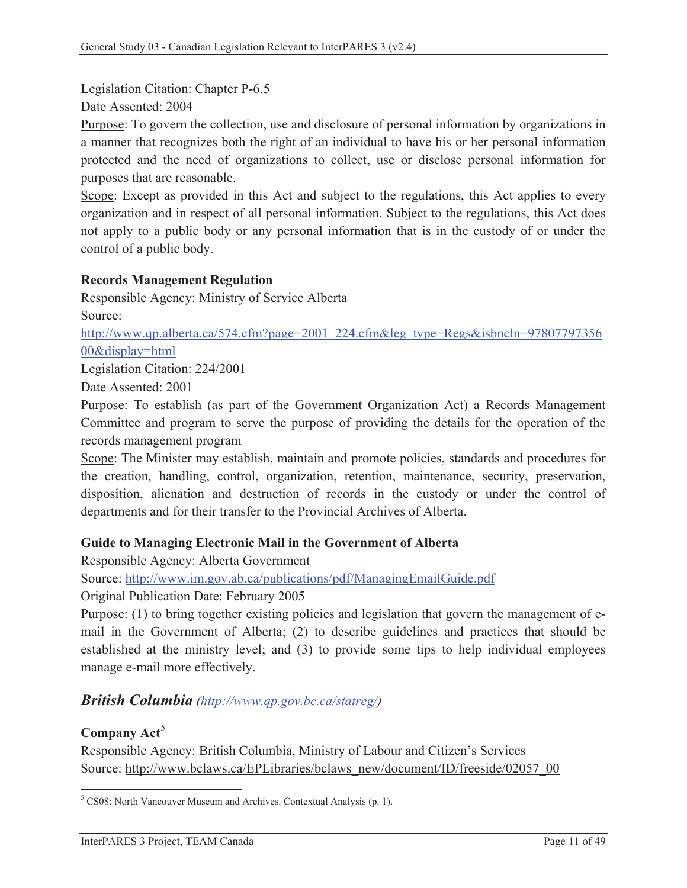Legislation Citation: Chapter P-6.5

Date Assented: 2004

Purpose: To govern the collection, use and disclosure of personal information by organizations in a manner that recognizes both the right of an individual to have his or her personal information protected and the need of organizations to collect, use or disclose personal information for purposes that are reasonable.

Scope: Except as provided in this Act and subject to the regulations, this Act applies to every organization and in respect of all personal information. Subject to the regulations, this Act does not apply to a public body or any personal information that is in the custody of or under the control of a public body.

#### **Records Management Regulation**

Responsible Agency: Ministry of Service Alberta Source:

http://www.qp.alberta.ca/574.cfm?page=2001\_224.cfm&leg\_type=Regs&isbncln=97807797356 00&display=html

Legislation Citation: 224/2001

Date Assented: 2001

Purpose: To establish (as part of the Government Organization Act) a Records Management Committee and program to serve the purpose of providing the details for the operation of the records management program

Scope: The Minister may establish, maintain and promote policies, standards and procedures for the creation, handling, control, organization, retention, maintenance, security, preservation, disposition, alienation and destruction of records in the custody or under the control of departments and for their transfer to the Provincial Archives of Alberta.

#### **Guide to Managing Electronic Mail in the Government of Alberta**

Responsible Agency: Alberta Government

Source: http://www.im.gov.ab.ca/publications/pdf/ManagingEmailGuide.pdf

Original Publication Date: February 2005

Purpose: (1) to bring together existing policies and legislation that govern the management of email in the Government of Alberta; (2) to describe guidelines and practices that should be established at the ministry level; and (3) to provide some tips to help individual employees manage e-mail more effectively.

## *British Columbia (http://www.qp.gov.bc.ca/statreg/)*

## **Company Act<sup>5</sup>**

Responsible Agency: British Columbia, Ministry of Labour and Citizen's Services Source: http://www.bclaws.ca/EPLibraries/bclaws\_new/document/ID/freeside/02057\_00

 5 CS08: North Vancouver Museum and Archives. Contextual Analysis (p. 1).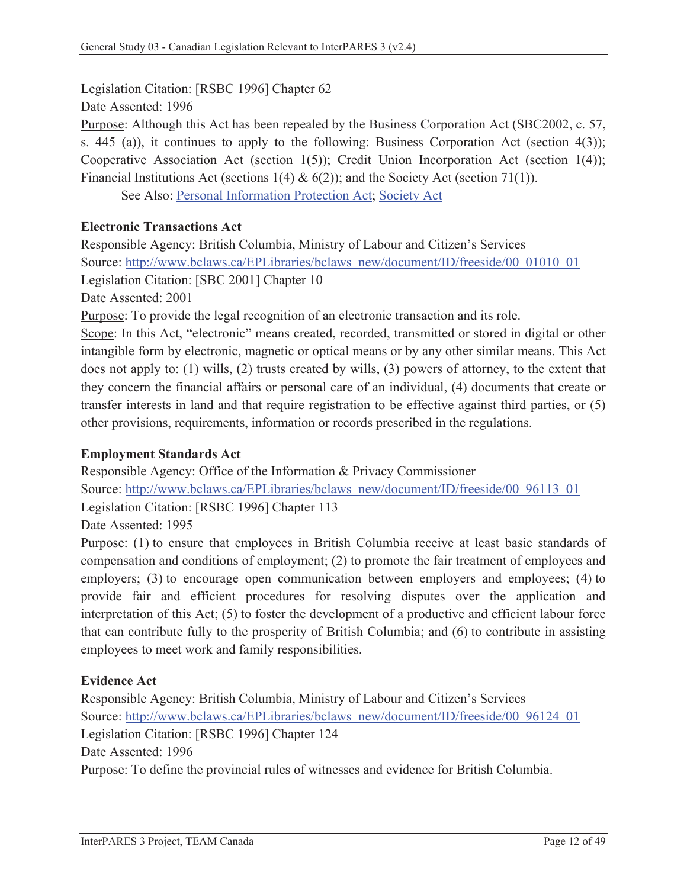Legislation Citation: [RSBC 1996] Chapter 62

Date Assented: 1996

Purpose: Although this Act has been repealed by the Business Corporation Act (SBC2002, c. 57, s. 445 (a)), it continues to apply to the following: Business Corporation Act (section 4(3)); Cooperative Association Act (section 1(5)); Credit Union Incorporation Act (section 1(4)); Financial Institutions Act (sections 1(4) &  $6(2)$ ); and the Society Act (section 71(1)).

See Also: Personal Information Protection Act; Society Act

### **Electronic Transactions Act**

Responsible Agency: British Columbia, Ministry of Labour and Citizen's Services Source: http://www.bclaws.ca/EPLibraries/bclaws\_new/document/ID/freeside/00\_01010\_01 Legislation Citation: [SBC 2001] Chapter 10

Date Assented: 2001

Purpose: To provide the legal recognition of an electronic transaction and its role.

Scope: In this Act, "electronic" means created, recorded, transmitted or stored in digital or other intangible form by electronic, magnetic or optical means or by any other similar means. This Act does not apply to: (1) wills, (2) trusts created by wills, (3) powers of attorney, to the extent that they concern the financial affairs or personal care of an individual, (4) documents that create or transfer interests in land and that require registration to be effective against third parties, or (5) other provisions, requirements, information or records prescribed in the regulations.

#### **Employment Standards Act**

Responsible Agency: Office of the Information & Privacy Commissioner Source: http://www.bclaws.ca/EPLibraries/bclaws\_new/document/ID/freeside/00\_96113\_01 Legislation Citation: [RSBC 1996] Chapter 113 Date Assented: 1995

Purpose: (1) to ensure that employees in British Columbia receive at least basic standards of compensation and conditions of employment; (2) to promote the fair treatment of employees and employers; (3) to encourage open communication between employers and employees; (4) to provide fair and efficient procedures for resolving disputes over the application and interpretation of this Act; (5) to foster the development of a productive and efficient labour force that can contribute fully to the prosperity of British Columbia; and (6) to contribute in assisting employees to meet work and family responsibilities.

#### **Evidence Act**

Responsible Agency: British Columbia, Ministry of Labour and Citizen's Services Source: http://www.bclaws.ca/EPLibraries/bclaws\_new/document/ID/freeside/00\_96124\_01 Legislation Citation: [RSBC 1996] Chapter 124 Date Assented: 1996 Purpose: To define the provincial rules of witnesses and evidence for British Columbia.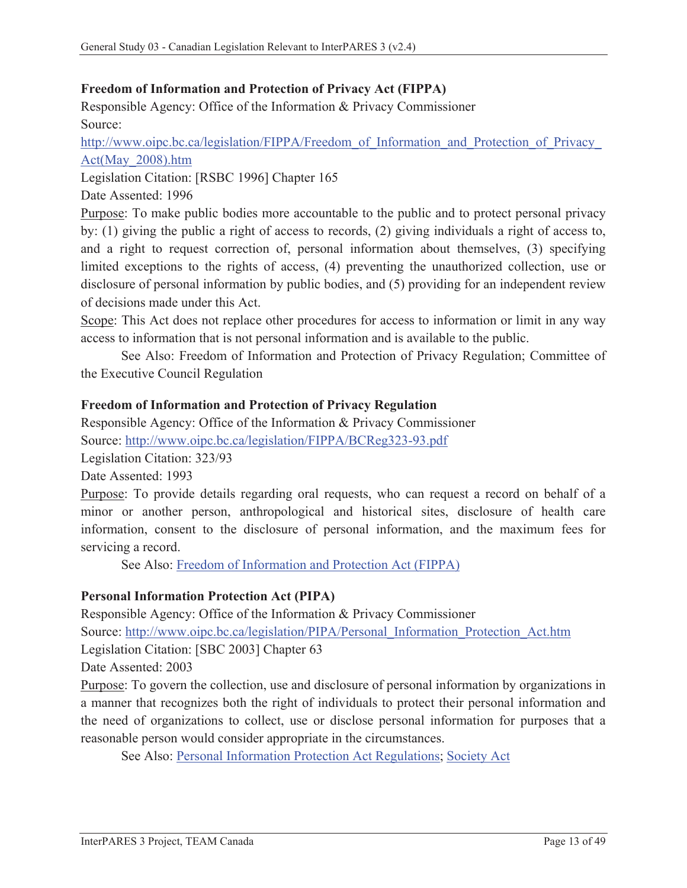## **Freedom of Information and Protection of Privacy Act (FIPPA)**

Responsible Agency: Office of the Information & Privacy Commissioner Source:

http://www.oipc.bc.ca/legislation/FIPPA/Freedom\_of\_Information\_and\_Protection\_of\_Privacy\_ Act(May\_2008).htm

Legislation Citation: [RSBC 1996] Chapter 165

Date Assented: 1996

Purpose: To make public bodies more accountable to the public and to protect personal privacy by: (1) giving the public a right of access to records, (2) giving individuals a right of access to, and a right to request correction of, personal information about themselves, (3) specifying limited exceptions to the rights of access, (4) preventing the unauthorized collection, use or disclosure of personal information by public bodies, and (5) providing for an independent review of decisions made under this Act.

Scope: This Act does not replace other procedures for access to information or limit in any way access to information that is not personal information and is available to the public.

See Also: Freedom of Information and Protection of Privacy Regulation; Committee of the Executive Council Regulation

#### **Freedom of Information and Protection of Privacy Regulation**

Responsible Agency: Office of the Information & Privacy Commissioner Source: http://www.oipc.bc.ca/legislation/FIPPA/BCReg323-93.pdf

Legislation Citation: 323/93

Date Assented: 1993

Purpose: To provide details regarding oral requests, who can request a record on behalf of a minor or another person, anthropological and historical sites, disclosure of health care information, consent to the disclosure of personal information, and the maximum fees for servicing a record.

See Also: Freedom of Information and Protection Act (FIPPA)

#### **Personal Information Protection Act (PIPA)**

Responsible Agency: Office of the Information & Privacy Commissioner

Source: http://www.oipc.bc.ca/legislation/PIPA/Personal\_Information\_Protection\_Act.htm

Legislation Citation: [SBC 2003] Chapter 63

Date Assented: 2003

Purpose: To govern the collection, use and disclosure of personal information by organizations in a manner that recognizes both the right of individuals to protect their personal information and the need of organizations to collect, use or disclose personal information for purposes that a reasonable person would consider appropriate in the circumstances.

See Also: Personal Information Protection Act Regulations; Society Act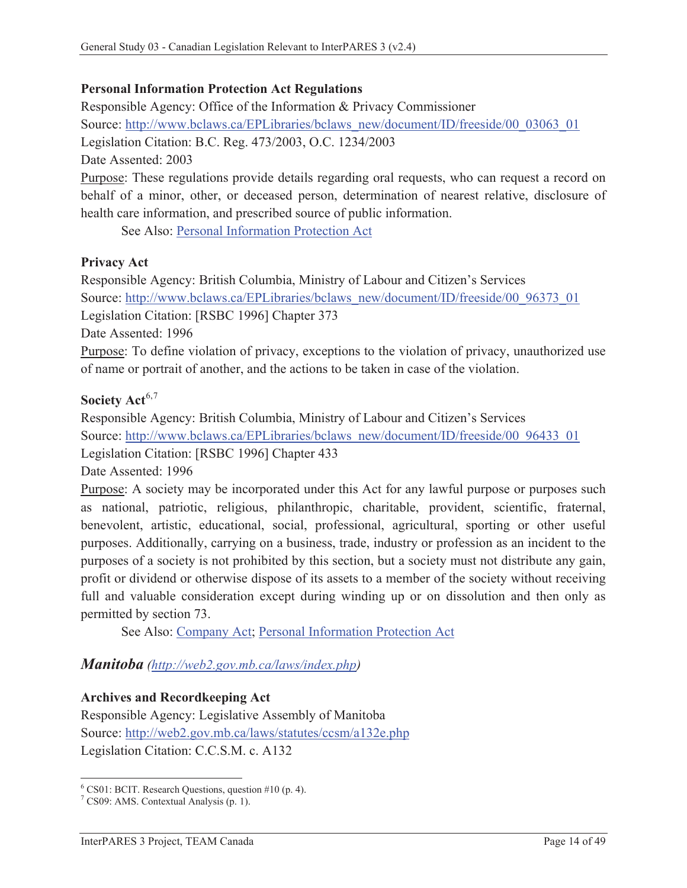#### **Personal Information Protection Act Regulations**

Responsible Agency: Office of the Information & Privacy Commissioner Source: http://www.bclaws.ca/EPLibraries/bclaws\_new/document/ID/freeside/00\_03063\_01 Legislation Citation: B.C. Reg. 473/2003, O.C. 1234/2003 Date Assented: 2003 Purpose: These regulations provide details regarding oral requests, who can request a record on behalf of a minor, other, or deceased person, determination of nearest relative, disclosure of

health care information, and prescribed source of public information.

See Also: Personal Information Protection Act

#### **Privacy Act**

Responsible Agency: British Columbia, Ministry of Labour and Citizen's Services Source: http://www.bclaws.ca/EPLibraries/bclaws\_new/document/ID/freeside/00\_96373\_01

Legislation Citation: [RSBC 1996] Chapter 373

Date Assented: 1996

Purpose: To define violation of privacy, exceptions to the violation of privacy, unauthorized use of name or portrait of another, and the actions to be taken in case of the violation.

#### Society Act<sup>6,7</sup>

Responsible Agency: British Columbia, Ministry of Labour and Citizen's Services Source: http://www.bclaws.ca/EPLibraries/bclaws\_new/document/ID/freeside/00\_96433\_01

Legislation Citation: [RSBC 1996] Chapter 433

Date Assented: 1996

Purpose: A society may be incorporated under this Act for any lawful purpose or purposes such as national, patriotic, religious, philanthropic, charitable, provident, scientific, fraternal, benevolent, artistic, educational, social, professional, agricultural, sporting or other useful purposes. Additionally, carrying on a business, trade, industry or profession as an incident to the purposes of a society is not prohibited by this section, but a society must not distribute any gain, profit or dividend or otherwise dispose of its assets to a member of the society without receiving full and valuable consideration except during winding up or on dissolution and then only as permitted by section 73.

See Also: Company Act; Personal Information Protection Act

*Manitoba (http://web2.gov.mb.ca/laws/index.php)*

#### **Archives and Recordkeeping Act**

Responsible Agency: Legislative Assembly of Manitoba Source: http://web2.gov.mb.ca/laws/statutes/ccsm/a132e.php Legislation Citation: C.C.S.M. c. A132

 6 CS01: BCIT. Research Questions, question #10 (p. 4).

<sup>7</sup> CS09: AMS. Contextual Analysis (p. 1).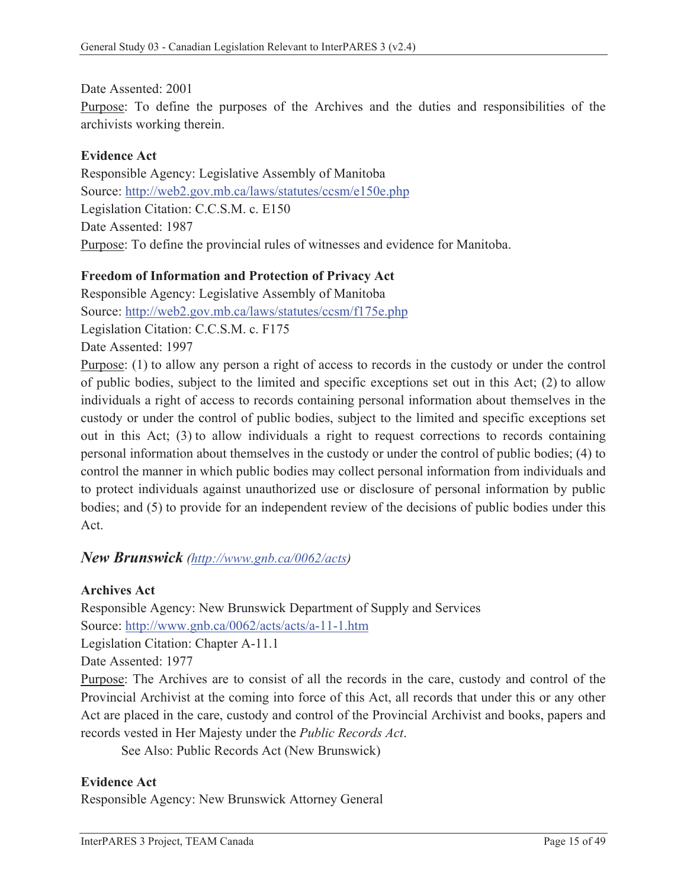Date Assented: 2001

Purpose: To define the purposes of the Archives and the duties and responsibilities of the archivists working therein.

#### **Evidence Act**

Responsible Agency: Legislative Assembly of Manitoba Source: http://web2.gov.mb.ca/laws/statutes/ccsm/e150e.php Legislation Citation: C.C.S.M. c. E150 Date Assented: 1987 Purpose: To define the provincial rules of witnesses and evidence for Manitoba.

### **Freedom of Information and Protection of Privacy Act**

Responsible Agency: Legislative Assembly of Manitoba Source: http://web2.gov.mb.ca/laws/statutes/ccsm/f175e.php Legislation Citation: C.C.S.M. c. F175 Date Assented: 1997

Purpose: (1) to allow any person a right of access to records in the custody or under the control of public bodies, subject to the limited and specific exceptions set out in this Act; (2) to allow individuals a right of access to records containing personal information about themselves in the custody or under the control of public bodies, subject to the limited and specific exceptions set out in this Act; (3) to allow individuals a right to request corrections to records containing personal information about themselves in the custody or under the control of public bodies; (4) to control the manner in which public bodies may collect personal information from individuals and to protect individuals against unauthorized use or disclosure of personal information by public bodies; and (5) to provide for an independent review of the decisions of public bodies under this Act.

## *New Brunswick (http://www.gnb.ca/0062/acts)*

#### **Archives Act**

Responsible Agency: New Brunswick Department of Supply and Services Source: http://www.gnb.ca/0062/acts/acts/a-11-1.htm

Legislation Citation: Chapter A-11.1

Date Assented: 1977

Purpose: The Archives are to consist of all the records in the care, custody and control of the Provincial Archivist at the coming into force of this Act, all records that under this or any other Act are placed in the care, custody and control of the Provincial Archivist and books, papers and records vested in Her Majesty under the *Public Records Act*.

See Also: Public Records Act (New Brunswick)

#### **Evidence Act**

Responsible Agency: New Brunswick Attorney General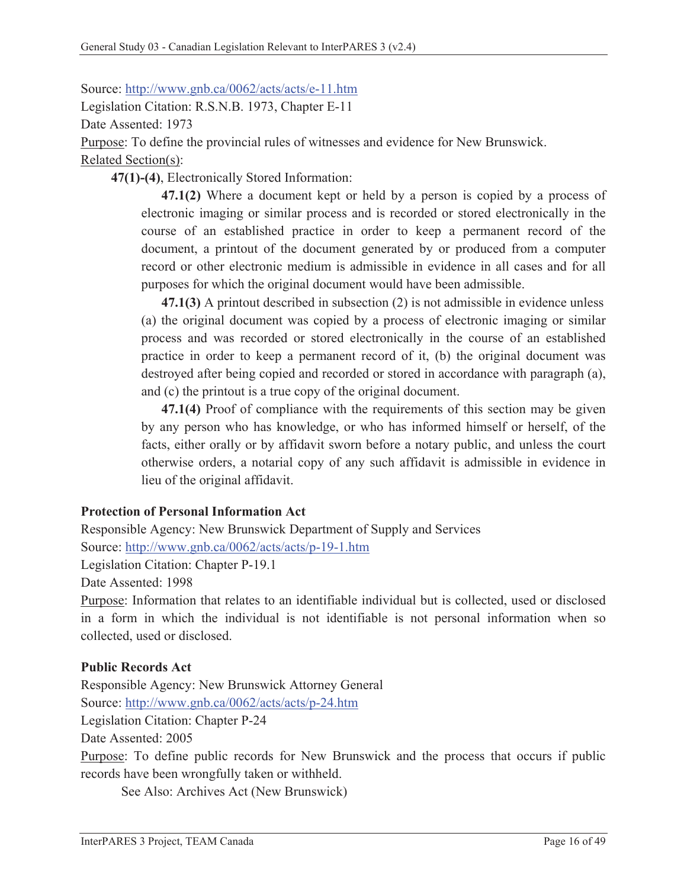Source: http://www.gnb.ca/0062/acts/acts/e-11.htm

Legislation Citation: R.S.N.B. 1973, Chapter E-11

Date Assented: 1973

Purpose: To define the provincial rules of witnesses and evidence for New Brunswick.

Related Section(s):

**47(1)-(4)**, Electronically Stored Information:

**47.1(2)** Where a document kept or held by a person is copied by a process of electronic imaging or similar process and is recorded or stored electronically in the course of an established practice in order to keep a permanent record of the document, a printout of the document generated by or produced from a computer record or other electronic medium is admissible in evidence in all cases and for all purposes for which the original document would have been admissible.

**47.1(3)** A printout described in subsection (2) is not admissible in evidence unless (a) the original document was copied by a process of electronic imaging or similar process and was recorded or stored electronically in the course of an established practice in order to keep a permanent record of it, (b) the original document was destroyed after being copied and recorded or stored in accordance with paragraph (a), and (c) the printout is a true copy of the original document.

**47.1(4)** Proof of compliance with the requirements of this section may be given by any person who has knowledge, or who has informed himself or herself, of the facts, either orally or by affidavit sworn before a notary public, and unless the court otherwise orders, a notarial copy of any such affidavit is admissible in evidence in lieu of the original affidavit.

## **Protection of Personal Information Act**

Responsible Agency: New Brunswick Department of Supply and Services Source: http://www.gnb.ca/0062/acts/acts/p-19-1.htm

Legislation Citation: Chapter P-19.1

Date Assented: 1998

Purpose: Information that relates to an identifiable individual but is collected, used or disclosed in a form in which the individual is not identifiable is not personal information when so collected, used or disclosed.

## **Public Records Act**

Responsible Agency: New Brunswick Attorney General Source: http://www.gnb.ca/0062/acts/acts/p-24.htm Legislation Citation: Chapter P-24 Date Assented: 2005

Purpose: To define public records for New Brunswick and the process that occurs if public records have been wrongfully taken or withheld.

See Also: Archives Act (New Brunswick)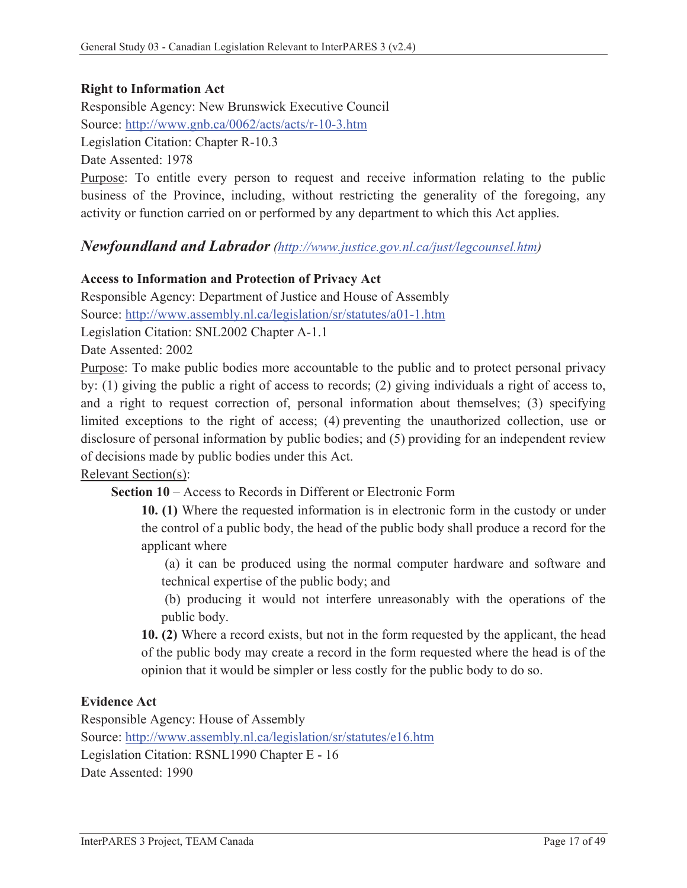### **Right to Information Act**

Responsible Agency: New Brunswick Executive Council Source: http://www.gnb.ca/0062/acts/acts/r-10-3.htm Legislation Citation: Chapter R-10.3 Date Assented: 1978

Purpose: To entitle every person to request and receive information relating to the public business of the Province, including, without restricting the generality of the foregoing, any activity or function carried on or performed by any department to which this Act applies.

### *Newfoundland and Labrador (http://www.justice.gov.nl.ca/just/legcounsel.htm)*

#### **Access to Information and Protection of Privacy Act**

Responsible Agency: Department of Justice and House of Assembly Source: http://www.assembly.nl.ca/legislation/sr/statutes/a01-1.htm Legislation Citation: SNL2002 Chapter A-1.1

Date Assented: 2002

Purpose: To make public bodies more accountable to the public and to protect personal privacy by: (1) giving the public a right of access to records; (2) giving individuals a right of access to, and a right to request correction of, personal information about themselves; (3) specifying limited exceptions to the right of access; (4) preventing the unauthorized collection, use or disclosure of personal information by public bodies; and (5) providing for an independent review of decisions made by public bodies under this Act.

#### Relevant Section(s):

**Section 10** – Access to Records in Different or Electronic Form

**10. (1)** Where the requested information is in electronic form in the custody or under the control of a public body, the head of the public body shall produce a record for the applicant where

 (a) it can be produced using the normal computer hardware and software and technical expertise of the public body; and

 (b) producing it would not interfere unreasonably with the operations of the public body.

**10. (2)** Where a record exists, but not in the form requested by the applicant, the head of the public body may create a record in the form requested where the head is of the opinion that it would be simpler or less costly for the public body to do so.

#### **Evidence Act**

Responsible Agency: House of Assembly Source: http://www.assembly.nl.ca/legislation/sr/statutes/e16.htm Legislation Citation: RSNL1990 Chapter E - 16 Date Assented: 1990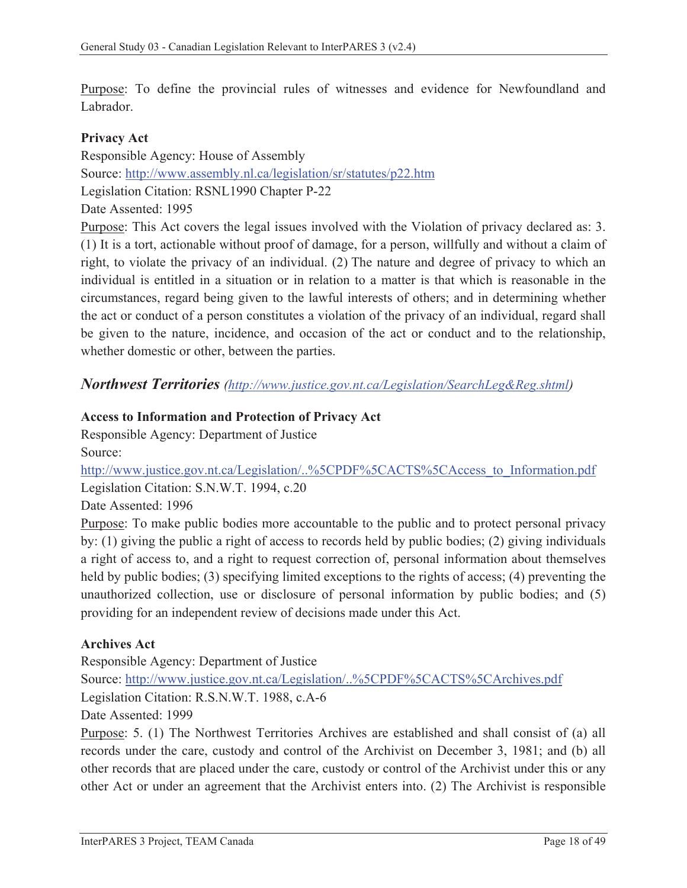Purpose: To define the provincial rules of witnesses and evidence for Newfoundland and Labrador.

#### **Privacy Act**

Responsible Agency: House of Assembly Source: http://www.assembly.nl.ca/legislation/sr/statutes/p22.htm Legislation Citation: RSNL1990 Chapter P-22 Date Assented: 1995

Purpose: This Act covers the legal issues involved with the Violation of privacy declared as: 3. (1) It is a tort, actionable without proof of damage, for a person, willfully and without a claim of right, to violate the privacy of an individual. (2) The nature and degree of privacy to which an individual is entitled in a situation or in relation to a matter is that which is reasonable in the circumstances, regard being given to the lawful interests of others; and in determining whether the act or conduct of a person constitutes a violation of the privacy of an individual, regard shall be given to the nature, incidence, and occasion of the act or conduct and to the relationship, whether domestic or other, between the parties.

*Northwest Territories (http://www.justice.gov.nt.ca/Legislation/SearchLeg&Reg.shtml)*

### **Access to Information and Protection of Privacy Act**

Responsible Agency: Department of Justice Source:

http://www.justice.gov.nt.ca/Legislation/..%5CPDF%5CACTS%5CAccess\_to\_Information.pdf Legislation Citation: S.N.W.T. 1994, c.20

Date Assented: 1996

Purpose: To make public bodies more accountable to the public and to protect personal privacy by: (1) giving the public a right of access to records held by public bodies; (2) giving individuals a right of access to, and a right to request correction of, personal information about themselves held by public bodies; (3) specifying limited exceptions to the rights of access; (4) preventing the unauthorized collection, use or disclosure of personal information by public bodies; and (5) providing for an independent review of decisions made under this Act.

#### **Archives Act**

Responsible Agency: Department of Justice

Source: http://www.justice.gov.nt.ca/Legislation/..%5CPDF%5CACTS%5CArchives.pdf Legislation Citation: R.S.N.W.T. 1988, c.A-6

Date Assented: 1999

Purpose: 5. (1) The Northwest Territories Archives are established and shall consist of (a) all records under the care, custody and control of the Archivist on December 3, 1981; and (b) all other records that are placed under the care, custody or control of the Archivist under this or any other Act or under an agreement that the Archivist enters into. (2) The Archivist is responsible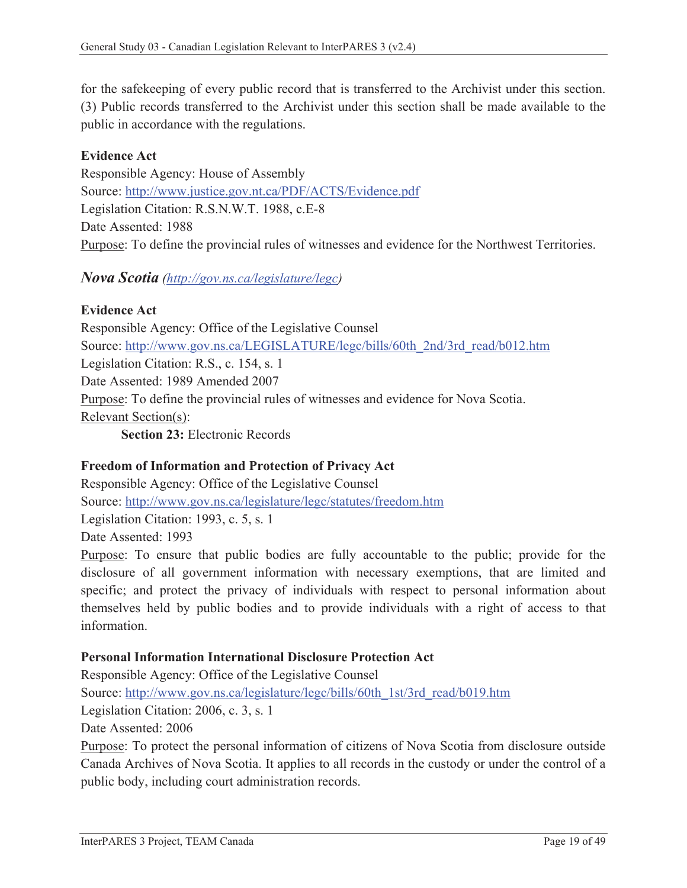for the safekeeping of every public record that is transferred to the Archivist under this section. (3) Public records transferred to the Archivist under this section shall be made available to the public in accordance with the regulations.

### **Evidence Act**

Responsible Agency: House of Assembly Source: http://www.justice.gov.nt.ca/PDF/ACTS/Evidence.pdf Legislation Citation: R.S.N.W.T. 1988, c.E-8 Date Assented: 1988 Purpose: To define the provincial rules of witnesses and evidence for the Northwest Territories.

### *Nova Scotia (http://gov.ns.ca/legislature/legc)*

#### **Evidence Act**

Responsible Agency: Office of the Legislative Counsel Source: http://www.gov.ns.ca/LEGISLATURE/legc/bills/60th\_2nd/3rd\_read/b012.htm Legislation Citation: R.S., c. 154, s. 1 Date Assented: 1989 Amended 2007 Purpose: To define the provincial rules of witnesses and evidence for Nova Scotia. Relevant Section(s):

**Section 23:** Electronic Records

#### **Freedom of Information and Protection of Privacy Act**

Responsible Agency: Office of the Legislative Counsel Source: http://www.gov.ns.ca/legislature/legc/statutes/freedom.htm Legislation Citation: 1993, c. 5, s. 1 Date Assented: 1993

Purpose: To ensure that public bodies are fully accountable to the public; provide for the disclosure of all government information with necessary exemptions, that are limited and specific; and protect the privacy of individuals with respect to personal information about themselves held by public bodies and to provide individuals with a right of access to that information.

#### **Personal Information International Disclosure Protection Act**

Responsible Agency: Office of the Legislative Counsel Source: http://www.gov.ns.ca/legislature/legc/bills/60th\_1st/3rd\_read/b019.htm Legislation Citation: 2006, c. 3, s. 1 Date Assented: 2006

Purpose: To protect the personal information of citizens of Nova Scotia from disclosure outside Canada Archives of Nova Scotia. It applies to all records in the custody or under the control of a public body, including court administration records.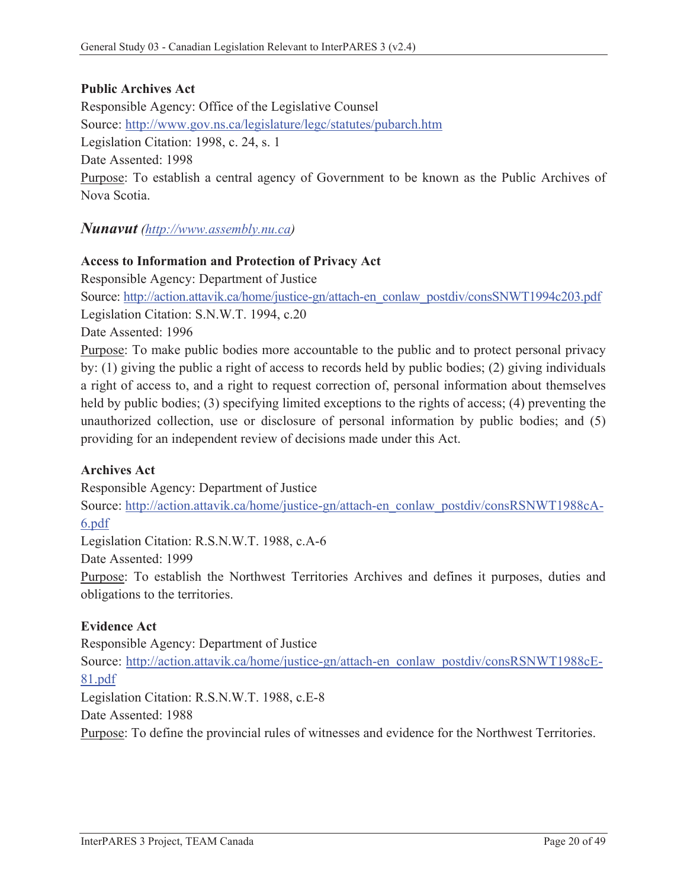## **Public Archives Act**

Responsible Agency: Office of the Legislative Counsel Source: http://www.gov.ns.ca/legislature/legc/statutes/pubarch.htm Legislation Citation: 1998, c. 24, s. 1 Date Assented: 1998 Purpose: To establish a central agency of Government to be known as the Public Archives of Nova Scotia.

### *Nunavut (http://www.assembly.nu.ca)*

#### **Access to Information and Protection of Privacy Act**

Responsible Agency: Department of Justice

Source: http://action.attavik.ca/home/justice-gn/attach-en\_conlaw\_postdiv/consSNWT1994c203.pdf Legislation Citation: S.N.W.T. 1994, c.20

Date Assented: 1996

Purpose: To make public bodies more accountable to the public and to protect personal privacy by: (1) giving the public a right of access to records held by public bodies; (2) giving individuals a right of access to, and a right to request correction of, personal information about themselves held by public bodies; (3) specifying limited exceptions to the rights of access; (4) preventing the unauthorized collection, use or disclosure of personal information by public bodies; and (5) providing for an independent review of decisions made under this Act.

#### **Archives Act**

Responsible Agency: Department of Justice

Source: http://action.attavik.ca/home/justice-gn/attach-en\_conlaw\_postdiv/consRSNWT1988cA-6.pdf

Legislation Citation: R.S.N.W.T. 1988, c.A-6

Date Assented: 1999

Purpose: To establish the Northwest Territories Archives and defines it purposes, duties and obligations to the territories.

#### **Evidence Act**

Responsible Agency: Department of Justice Source: http://action.attavik.ca/home/justice-gn/attach-en\_conlaw\_postdiv/consRSNWT1988cE-81.pdf Legislation Citation: R.S.N.W.T. 1988, c.E-8 Date Assented: 1988

Purpose: To define the provincial rules of witnesses and evidence for the Northwest Territories.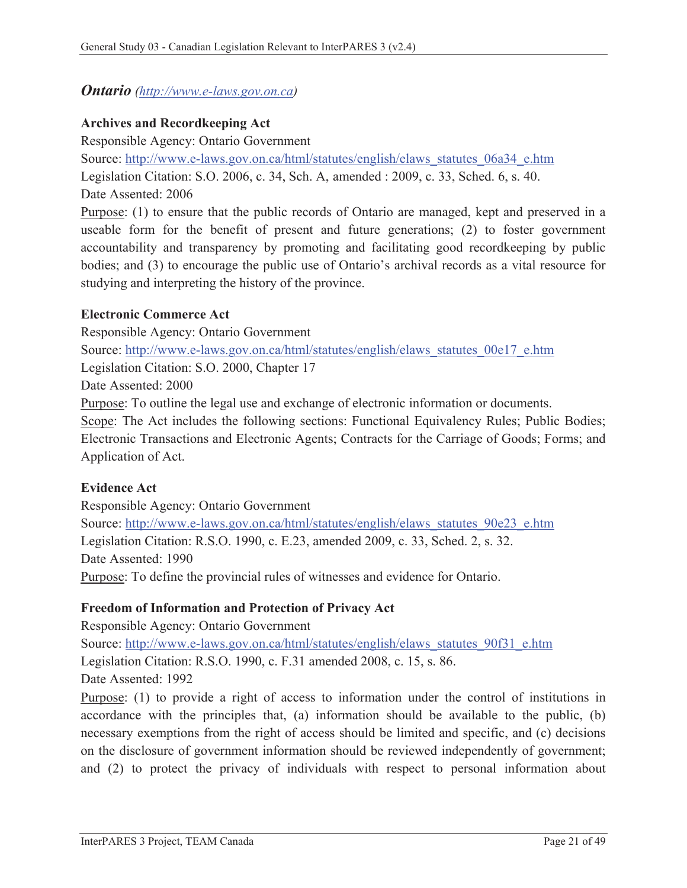## *Ontario (http://www.e-laws.gov.on.ca)*

### **Archives and Recordkeeping Act**

Responsible Agency: Ontario Government Source: http://www.e-laws.gov.on.ca/html/statutes/english/elaws\_statutes\_06a34\_e.htm Legislation Citation: S.O. 2006, c. 34, Sch. A, amended : 2009, c. 33, Sched. 6, s. 40. Date Assented: 2006 Purpose: (1) to ensure that the public records of Ontario are managed, kept and preserved in a useable form for the benefit of present and future generations; (2) to foster government

accountability and transparency by promoting and facilitating good recordkeeping by public bodies; and (3) to encourage the public use of Ontario's archival records as a vital resource for studying and interpreting the history of the province.

#### **Electronic Commerce Act**

Responsible Agency: Ontario Government Source: http://www.e-laws.gov.on.ca/html/statutes/english/elaws\_statutes\_00e17\_e.htm Legislation Citation: S.O. 2000, Chapter 17 Date Assented: 2000 Purpose: To outline the legal use and exchange of electronic information or documents. Scope: The Act includes the following sections: Functional Equivalency Rules; Public Bodies; Electronic Transactions and Electronic Agents; Contracts for the Carriage of Goods; Forms; and Application of Act.

## **Evidence Act**

Responsible Agency: Ontario Government Source: http://www.e-laws.gov.on.ca/html/statutes/english/elaws\_statutes\_90e23\_e.htm Legislation Citation: R.S.O. 1990, c. E.23, amended 2009, c. 33, Sched. 2, s. 32. Date Assented: 1990 Purpose: To define the provincial rules of witnesses and evidence for Ontario.

## **Freedom of Information and Protection of Privacy Act**

Responsible Agency: Ontario Government Source: http://www.e-laws.gov.on.ca/html/statutes/english/elaws\_statutes\_90f31\_e.htm Legislation Citation: R.S.O. 1990, c. F.31 amended 2008, c. 15, s. 86. Date Assented: 1992

Purpose: (1) to provide a right of access to information under the control of institutions in accordance with the principles that, (a) information should be available to the public, (b) necessary exemptions from the right of access should be limited and specific, and (c) decisions on the disclosure of government information should be reviewed independently of government; and (2) to protect the privacy of individuals with respect to personal information about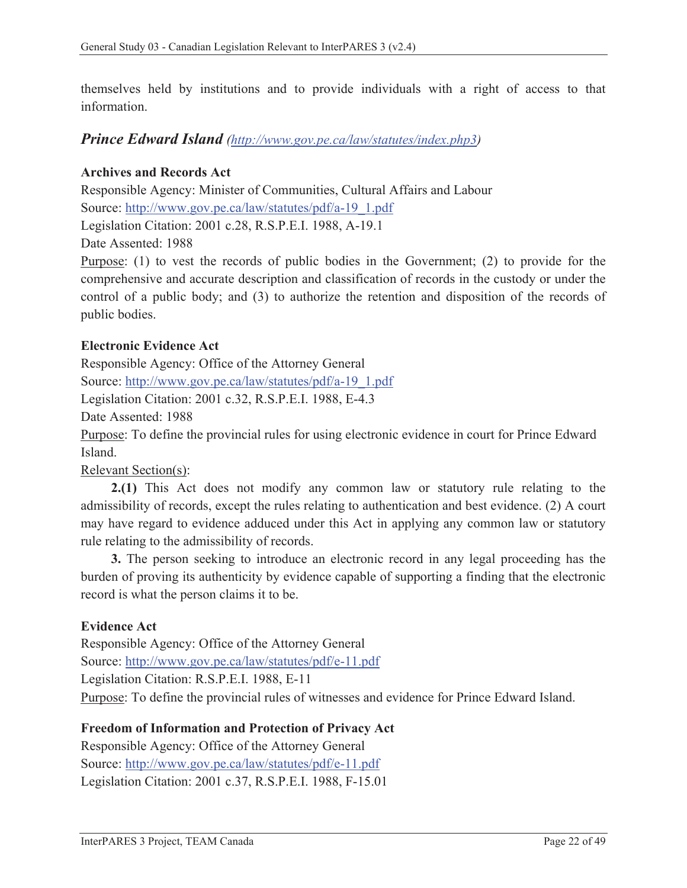themselves held by institutions and to provide individuals with a right of access to that information.

## *Prince Edward Island (http://www.gov.pe.ca/law/statutes/index.php3)*

## **Archives and Records Act**

Responsible Agency: Minister of Communities, Cultural Affairs and Labour Source: http://www.gov.pe.ca/law/statutes/pdf/a-19\_1.pdf

Legislation Citation: 2001 c.28, R.S.P.E.I. 1988, A-19.1

Date Assented: 1988

Purpose: (1) to vest the records of public bodies in the Government; (2) to provide for the comprehensive and accurate description and classification of records in the custody or under the control of a public body; and (3) to authorize the retention and disposition of the records of public bodies.

## **Electronic Evidence Act**

Responsible Agency: Office of the Attorney General Source: http://www.gov.pe.ca/law/statutes/pdf/a-19\_1.pdf

Legislation Citation: 2001 c.32, R.S.P.E.I. 1988, E-4.3

Date Assented: 1988

Purpose: To define the provincial rules for using electronic evidence in court for Prince Edward Island.

Relevant Section(s):

**2.(1)** This Act does not modify any common law or statutory rule relating to the admissibility of records, except the rules relating to authentication and best evidence. (2) A court may have regard to evidence adduced under this Act in applying any common law or statutory rule relating to the admissibility of records.

**3.** The person seeking to introduce an electronic record in any legal proceeding has the burden of proving its authenticity by evidence capable of supporting a finding that the electronic record is what the person claims it to be.

#### **Evidence Act**

Responsible Agency: Office of the Attorney General Source: http://www.gov.pe.ca/law/statutes/pdf/e-11.pdf Legislation Citation: R.S.P.E.I. 1988, E-11 Purpose: To define the provincial rules of witnesses and evidence for Prince Edward Island.

#### **Freedom of Information and Protection of Privacy Act**

Responsible Agency: Office of the Attorney General Source: http://www.gov.pe.ca/law/statutes/pdf/e-11.pdf Legislation Citation: 2001 c.37, R.S.P.E.I. 1988, F-15.01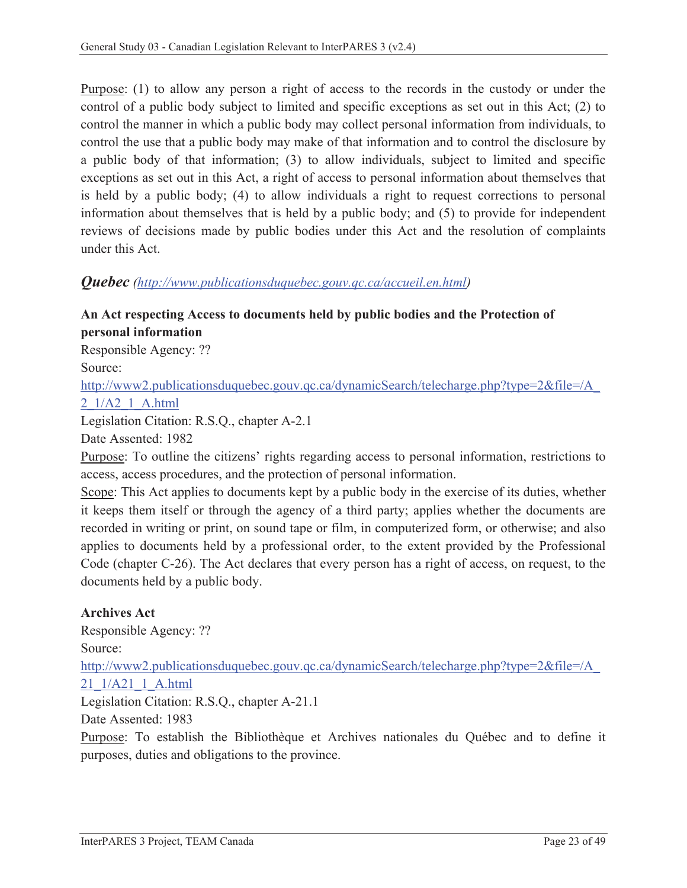Purpose: (1) to allow any person a right of access to the records in the custody or under the control of a public body subject to limited and specific exceptions as set out in this Act; (2) to control the manner in which a public body may collect personal information from individuals, to control the use that a public body may make of that information and to control the disclosure by a public body of that information; (3) to allow individuals, subject to limited and specific exceptions as set out in this Act, a right of access to personal information about themselves that is held by a public body; (4) to allow individuals a right to request corrections to personal information about themselves that is held by a public body; and (5) to provide for independent reviews of decisions made by public bodies under this Act and the resolution of complaints under this Act.

### *Quebec (http://www.publicationsduquebec.gouv.qc.ca/accueil.en.html)*

### **An Act respecting Access to documents held by public bodies and the Protection of personal information**

Responsible Agency: ??

Source:

http://www2.publicationsduquebec.gouv.qc.ca/dynamicSearch/telecharge.php?type=2&file=/A\_ 2\_1/A2\_1\_A.html

Legislation Citation: R.S.Q., chapter A-2.1

Date Assented: 1982

Purpose: To outline the citizens' rights regarding access to personal information, restrictions to access, access procedures, and the protection of personal information.

Scope: This Act applies to documents kept by a public body in the exercise of its duties, whether it keeps them itself or through the agency of a third party; applies whether the documents are recorded in writing or print, on sound tape or film, in computerized form, or otherwise; and also applies to documents held by a professional order, to the extent provided by the Professional Code (chapter C-26). The Act declares that every person has a right of access, on request, to the documents held by a public body.

## **Archives Act**

Responsible Agency: ?? Source: http://www2.publicationsduquebec.gouv.qc.ca/dynamicSearch/telecharge.php?type=2&file=/A\_ 21\_1/A21\_1\_A.html Legislation Citation: R.S.Q., chapter A-21.1 Date Assented: 1983 Purpose: To establish the Bibliothèque et Archives nationales du Québec and to define it purposes, duties and obligations to the province.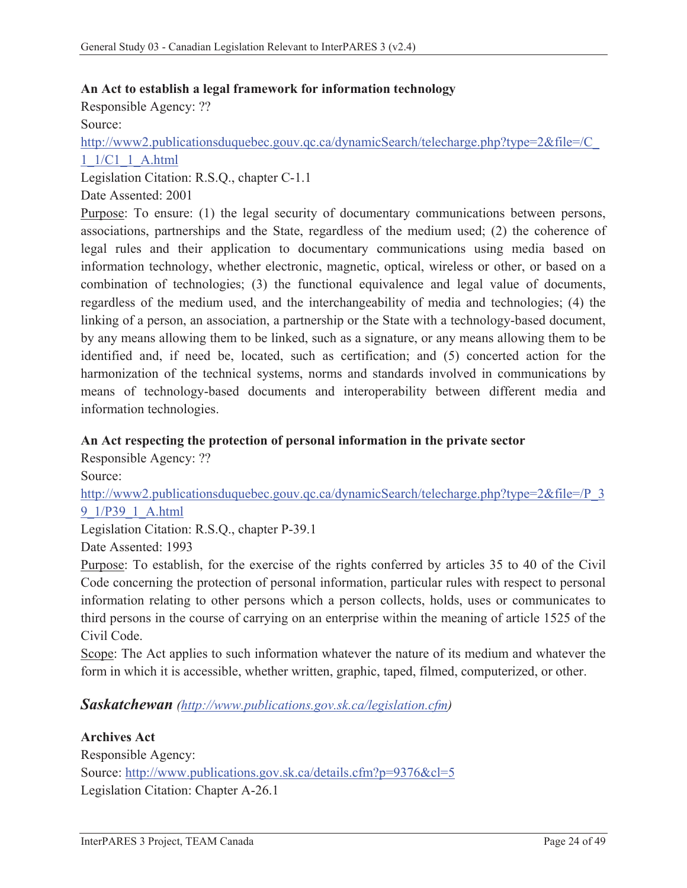#### **An Act to establish a legal framework for information technology**

Responsible Agency: ?? Source: http://www2.publicationsduquebec.gouv.qc.ca/dynamicSearch/telecharge.php?type=2&file=/C\_ 1\_1/C1\_1\_A.html

Legislation Citation: R.S.Q., chapter C-1.1 Date Assented: 2001

Purpose: To ensure: (1) the legal security of documentary communications between persons, associations, partnerships and the State, regardless of the medium used; (2) the coherence of legal rules and their application to documentary communications using media based on information technology, whether electronic, magnetic, optical, wireless or other, or based on a combination of technologies; (3) the functional equivalence and legal value of documents, regardless of the medium used, and the interchangeability of media and technologies; (4) the linking of a person, an association, a partnership or the State with a technology-based document, by any means allowing them to be linked, such as a signature, or any means allowing them to be identified and, if need be, located, such as certification; and (5) concerted action for the harmonization of the technical systems, norms and standards involved in communications by means of technology-based documents and interoperability between different media and information technologies.

#### **An Act respecting the protection of personal information in the private sector**

Responsible Agency: ?? Source: http://www2.publicationsduquebec.gouv.qc.ca/dynamicSearch/telecharge.php?type=2&file=/P\_3 9\_1/P39\_1\_A.html Legislation Citation: R.S.Q., chapter P-39.1

Date Assented: 1993

Purpose: To establish, for the exercise of the rights conferred by articles 35 to 40 of the Civil Code concerning the protection of personal information, particular rules with respect to personal information relating to other persons which a person collects, holds, uses or communicates to third persons in the course of carrying on an enterprise within the meaning of article 1525 of the Civil Code.

Scope: The Act applies to such information whatever the nature of its medium and whatever the form in which it is accessible, whether written, graphic, taped, filmed, computerized, or other.

## *Saskatchewan (http://www.publications.gov.sk.ca/legislation.cfm)*

**Archives Act**  Responsible Agency: Source: http://www.publications.gov.sk.ca/details.cfm?p=9376&cl=5 Legislation Citation: Chapter A-26.1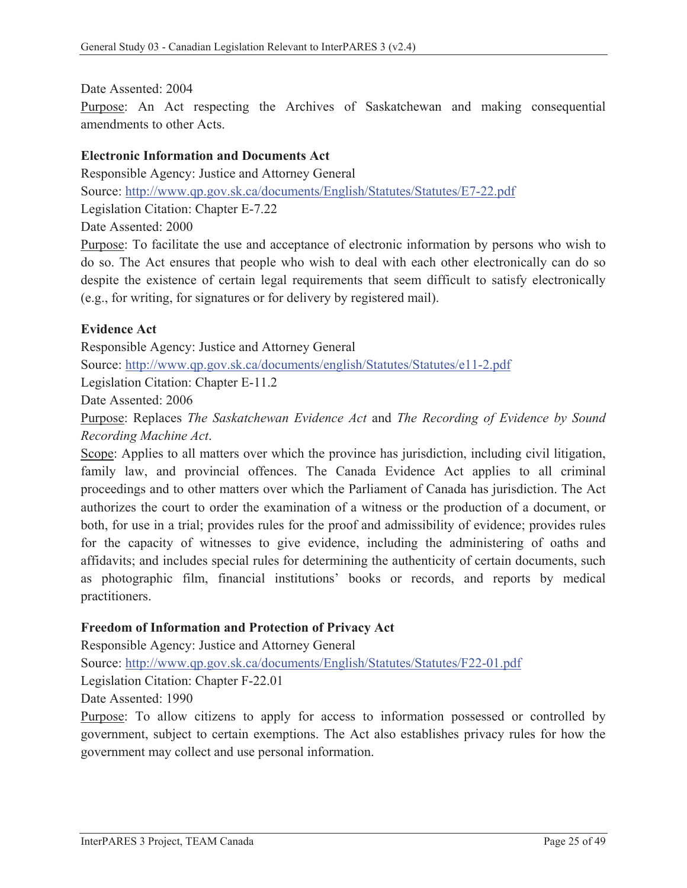Date Assented: 2004

Purpose: An Act respecting the Archives of Saskatchewan and making consequential amendments to other Acts.

#### **Electronic Information and Documents Act**

Responsible Agency: Justice and Attorney General Source: http://www.qp.gov.sk.ca/documents/English/Statutes/Statutes/E7-22.pdf Legislation Citation: Chapter E-7.22 Date Assented: 2000

Purpose: To facilitate the use and acceptance of electronic information by persons who wish to do so. The Act ensures that people who wish to deal with each other electronically can do so despite the existence of certain legal requirements that seem difficult to satisfy electronically (e.g., for writing, for signatures or for delivery by registered mail).

#### **Evidence Act**

Responsible Agency: Justice and Attorney General Source: http://www.qp.gov.sk.ca/documents/english/Statutes/Statutes/e11-2.pdf

Legislation Citation: Chapter E-11.2

Date Assented: 2006

Purpose: Replaces *The Saskatchewan Evidence Act* and *The Recording of Evidence by Sound Recording Machine Act*.

Scope: Applies to all matters over which the province has jurisdiction, including civil litigation, family law, and provincial offences. The Canada Evidence Act applies to all criminal proceedings and to other matters over which the Parliament of Canada has jurisdiction. The Act authorizes the court to order the examination of a witness or the production of a document, or both, for use in a trial; provides rules for the proof and admissibility of evidence; provides rules for the capacity of witnesses to give evidence, including the administering of oaths and affidavits; and includes special rules for determining the authenticity of certain documents, such as photographic film, financial institutions' books or records, and reports by medical practitioners.

#### **Freedom of Information and Protection of Privacy Act**

Responsible Agency: Justice and Attorney General

Source: http://www.qp.gov.sk.ca/documents/English/Statutes/Statutes/F22-01.pdf

Legislation Citation: Chapter F-22.01

Date Assented: 1990

Purpose: To allow citizens to apply for access to information possessed or controlled by government, subject to certain exemptions. The Act also establishes privacy rules for how the government may collect and use personal information.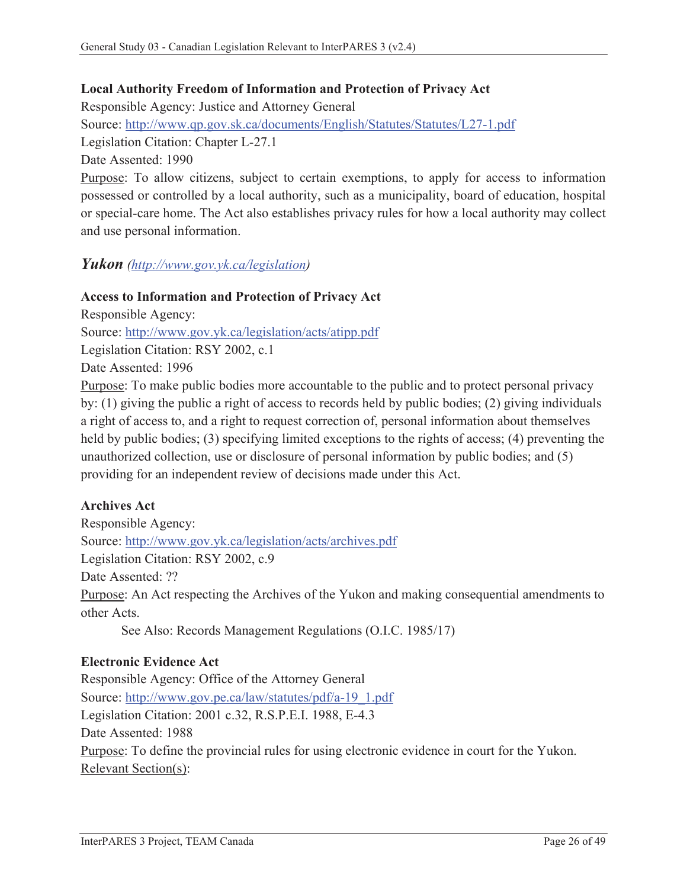#### **Local Authority Freedom of Information and Protection of Privacy Act**

Responsible Agency: Justice and Attorney General Source: http://www.qp.gov.sk.ca/documents/English/Statutes/Statutes/L27-1.pdf Legislation Citation: Chapter L-27.1 Date Assented: 1990

Purpose: To allow citizens, subject to certain exemptions, to apply for access to information possessed or controlled by a local authority, such as a municipality, board of education, hospital or special-care home. The Act also establishes privacy rules for how a local authority may collect and use personal information.

### *Yukon (http://www.gov.yk.ca/legislation)*

### **Access to Information and Protection of Privacy Act**

Responsible Agency:

Source: http://www.gov.yk.ca/legislation/acts/atipp.pdf

Legislation Citation: RSY 2002, c.1

Date Assented: 1996

Purpose: To make public bodies more accountable to the public and to protect personal privacy by: (1) giving the public a right of access to records held by public bodies; (2) giving individuals a right of access to, and a right to request correction of, personal information about themselves held by public bodies; (3) specifying limited exceptions to the rights of access; (4) preventing the unauthorized collection, use or disclosure of personal information by public bodies; and (5) providing for an independent review of decisions made under this Act.

#### **Archives Act**

Responsible Agency: Source: http://www.gov.yk.ca/legislation/acts/archives.pdf Legislation Citation: RSY 2002, c.9 Date Assented: ?? Purpose: An Act respecting the Archives of the Yukon and making consequential amendments to other Acts.

See Also: Records Management Regulations (O.I.C. 1985/17)

#### **Electronic Evidence Act**

Responsible Agency: Office of the Attorney General Source: http://www.gov.pe.ca/law/statutes/pdf/a-19\_1.pdf Legislation Citation: 2001 c.32, R.S.P.E.I. 1988, E-4.3 Date Assented: 1988 Purpose: To define the provincial rules for using electronic evidence in court for the Yukon. Relevant Section(s):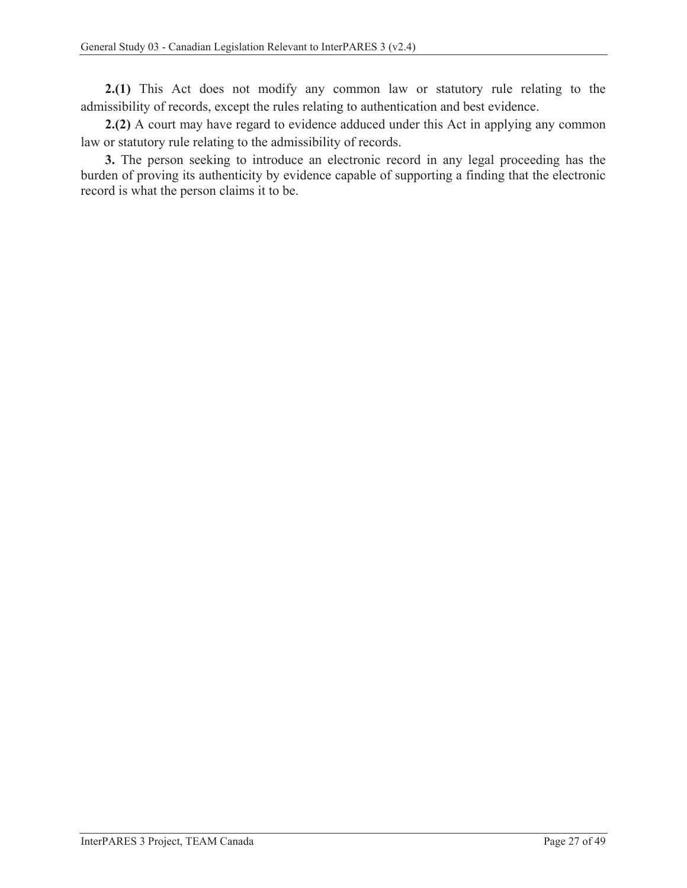**2.(1)** This Act does not modify any common law or statutory rule relating to the admissibility of records, except the rules relating to authentication and best evidence.

**2.(2)** A court may have regard to evidence adduced under this Act in applying any common law or statutory rule relating to the admissibility of records.

**3.** The person seeking to introduce an electronic record in any legal proceeding has the burden of proving its authenticity by evidence capable of supporting a finding that the electronic record is what the person claims it to be.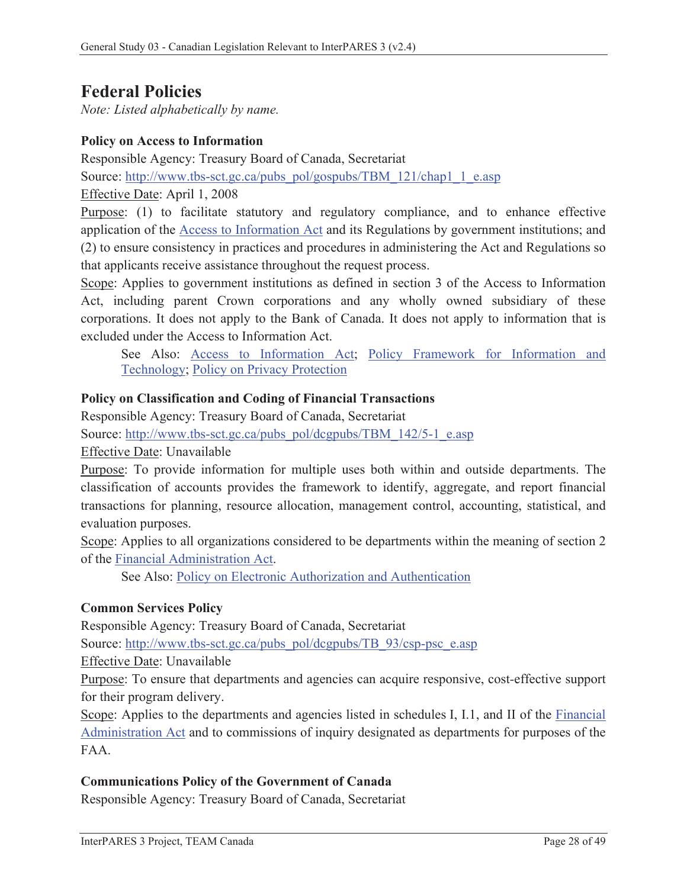## **Federal Policies**

*Note: Listed alphabetically by name.* 

#### **Policy on Access to Information**

Responsible Agency: Treasury Board of Canada, Secretariat

Source: http://www.tbs-sct.gc.ca/pubs\_pol/gospubs/TBM\_121/chap1\_1\_e.asp

Effective Date: April 1, 2008

Purpose: (1) to facilitate statutory and regulatory compliance, and to enhance effective application of the Access to Information Act and its Regulations by government institutions; and (2) to ensure consistency in practices and procedures in administering the Act and Regulations so that applicants receive assistance throughout the request process.

Scope: Applies to government institutions as defined in section 3 of the Access to Information Act, including parent Crown corporations and any wholly owned subsidiary of these corporations. It does not apply to the Bank of Canada. It does not apply to information that is excluded under the Access to Information Act.

See Also: Access to Information Act; Policy Framework for Information and Technology; Policy on Privacy Protection

#### **Policy on Classification and Coding of Financial Transactions**

Responsible Agency: Treasury Board of Canada, Secretariat

Source: http://www.tbs-sct.gc.ca/pubs\_pol/dcgpubs/TBM\_142/5-1\_e.asp

Effective Date: Unavailable

Purpose: To provide information for multiple uses both within and outside departments. The classification of accounts provides the framework to identify, aggregate, and report financial transactions for planning, resource allocation, management control, accounting, statistical, and evaluation purposes.

Scope: Applies to all organizations considered to be departments within the meaning of section 2 of the Financial Administration Act.

See Also: Policy on Electronic Authorization and Authentication

#### **Common Services Policy**

Responsible Agency: Treasury Board of Canada, Secretariat

Source: http://www.tbs-sct.gc.ca/pubs\_pol/dcgpubs/TB\_93/csp-psc\_e.asp

Effective Date: Unavailable

Purpose: To ensure that departments and agencies can acquire responsive, cost*-*effective support for their program delivery.

Scope: Applies to the departments and agencies listed in schedules I, I.1, and II of the Financial Administration Act and to commissions of inquiry designated as departments for purposes of the FAA.

#### **Communications Policy of the Government of Canada**

Responsible Agency: Treasury Board of Canada, Secretariat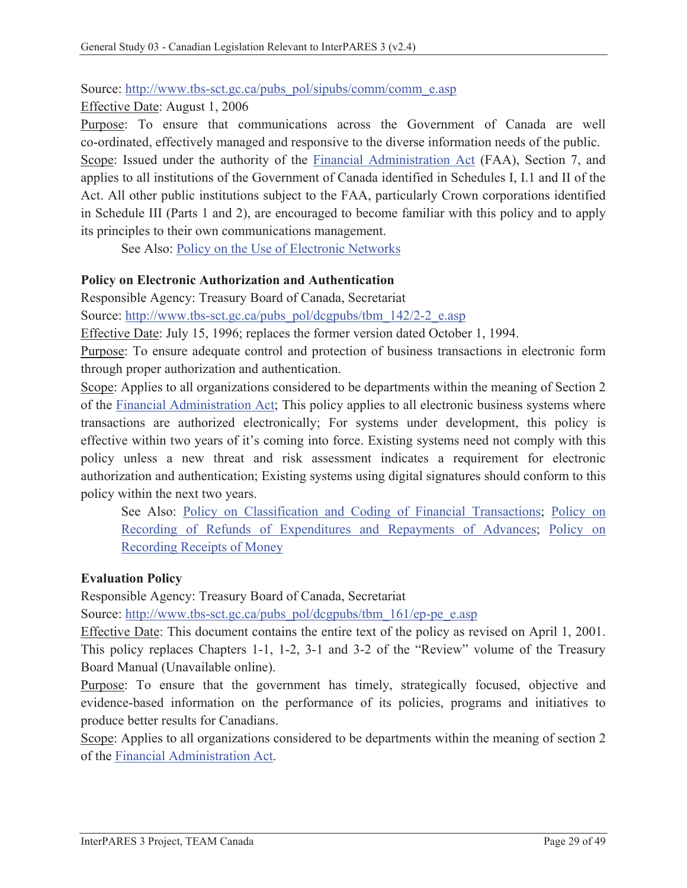#### Source: http://www.tbs-sct.gc.ca/pubs\_pol/sipubs/comm/comm\_e.asp

Effective Date: August 1, 2006

Purpose: To ensure that communications across the Government of Canada are well co-ordinated, effectively managed and responsive to the diverse information needs of the public. Scope: Issued under the authority of the Financial Administration Act (FAA), Section 7, and applies to all institutions of the Government of Canada identified in Schedules I, I.1 and II of the Act. All other public institutions subject to the FAA, particularly Crown corporations identified in Schedule III (Parts 1 and 2), are encouraged to become familiar with this policy and to apply its principles to their own communications management.

See Also: Policy on the Use of Electronic Networks

### **Policy on Electronic Authorization and Authentication**

Responsible Agency: Treasury Board of Canada, Secretariat

Source: http://www.tbs-sct.gc.ca/pubs\_pol/dcgpubs/tbm\_142/2-2\_e.asp

Effective Date: July 15, 1996; replaces the former version dated October 1, 1994.

Purpose: To ensure adequate control and protection of business transactions in electronic form through proper authorization and authentication.

Scope: Applies to all organizations considered to be departments within the meaning of Section 2 of the Financial Administration Act; This policy applies to all electronic business systems where transactions are authorized electronically; For systems under development, this policy is effective within two years of it's coming into force. Existing systems need not comply with this policy unless a new threat and risk assessment indicates a requirement for electronic authorization and authentication; Existing systems using digital signatures should conform to this policy within the next two years.

See Also: Policy on Classification and Coding of Financial Transactions; Policy on Recording of Refunds of Expenditures and Repayments of Advances; Policy on Recording Receipts of Money

#### **Evaluation Policy**

Responsible Agency: Treasury Board of Canada, Secretariat

Source: http://www.tbs-sct.gc.ca/pubs\_pol/dcgpubs/tbm\_161/ep-pe\_e.asp

Effective Date: This document contains the entire text of the policy as revised on April 1, 2001. This policy replaces Chapters 1-1, 1-2, 3-1 and 3-2 of the "Review" volume of the Treasury Board Manual (Unavailable online).

Purpose: To ensure that the government has timely, strategically focused, objective and evidence-based information on the performance of its policies, programs and initiatives to produce better results for Canadians.

Scope: Applies to all organizations considered to be departments within the meaning of section 2 of the Financial Administration Act.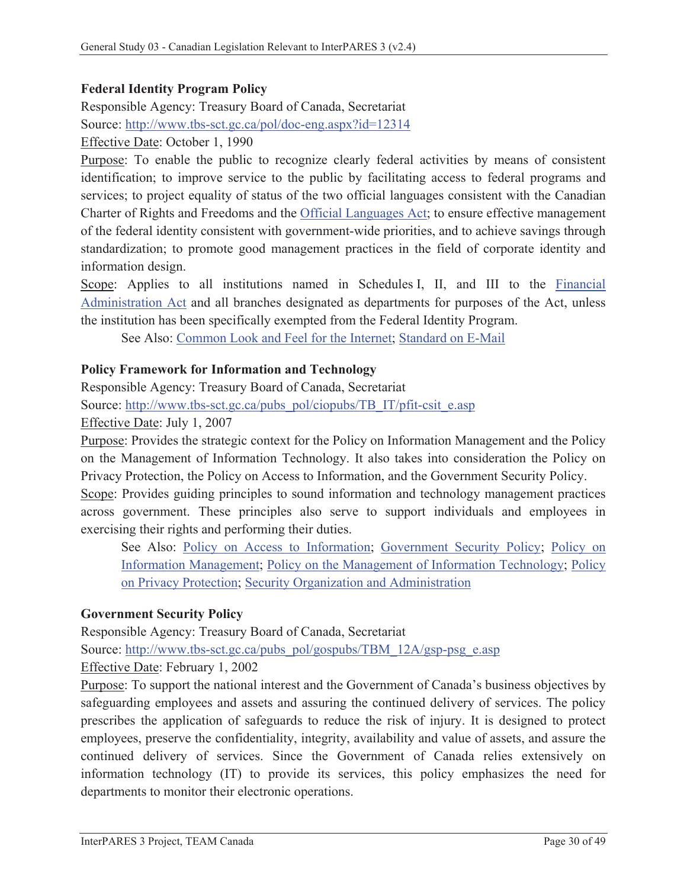## **Federal Identity Program Policy**

Responsible Agency: Treasury Board of Canada, Secretariat Source: http://www.tbs-sct.gc.ca/pol/doc-eng.aspx?id=12314

Effective Date: October 1, 1990

Purpose: To enable the public to recognize clearly federal activities by means of consistent identification; to improve service to the public by facilitating access to federal programs and services; to project equality of status of the two official languages consistent with the Canadian Charter of Rights and Freedoms and the Official Languages Act; to ensure effective management of the federal identity consistent with government-wide priorities, and to achieve savings through standardization; to promote good management practices in the field of corporate identity and information design.

Scope: Applies to all institutions named in Schedules I, II, and III to the Financial Administration Act and all branches designated as departments for purposes of the Act, unless the institution has been specifically exempted from the Federal Identity Program.

See Also: Common Look and Feel for the Internet; Standard on E-Mail

#### **Policy Framework for Information and Technology**

Responsible Agency: Treasury Board of Canada, Secretariat

Source: http://www.tbs-sct.gc.ca/pubs\_pol/ciopubs/TB\_IT/pfit-csit\_e.asp

Effective Date: July 1, 2007

Purpose: Provides the strategic context for the Policy on Information Management and the Policy on the Management of Information Technology. It also takes into consideration the Policy on Privacy Protection, the Policy on Access to Information, and the Government Security Policy.

Scope: Provides guiding principles to sound information and technology management practices across government. These principles also serve to support individuals and employees in exercising their rights and performing their duties.

See Also: Policy on Access to Information; Government Security Policy; Policy on Information Management; Policy on the Management of Information Technology; Policy on Privacy Protection; Security Organization and Administration

#### **Government Security Policy**

Responsible Agency: Treasury Board of Canada, Secretariat Source: http://www.tbs-sct.gc.ca/pubs\_pol/gospubs/TBM\_12A/gsp-psg\_e.asp Effective Date: February 1, 2002

Purpose: To support the national interest and the Government of Canada's business objectives by safeguarding employees and assets and assuring the continued delivery of services. The policy prescribes the application of safeguards to reduce the risk of injury. It is designed to protect employees, preserve the confidentiality, integrity, availability and value of assets, and assure the continued delivery of services. Since the Government of Canada relies extensively on information technology (IT) to provide its services, this policy emphasizes the need for departments to monitor their electronic operations.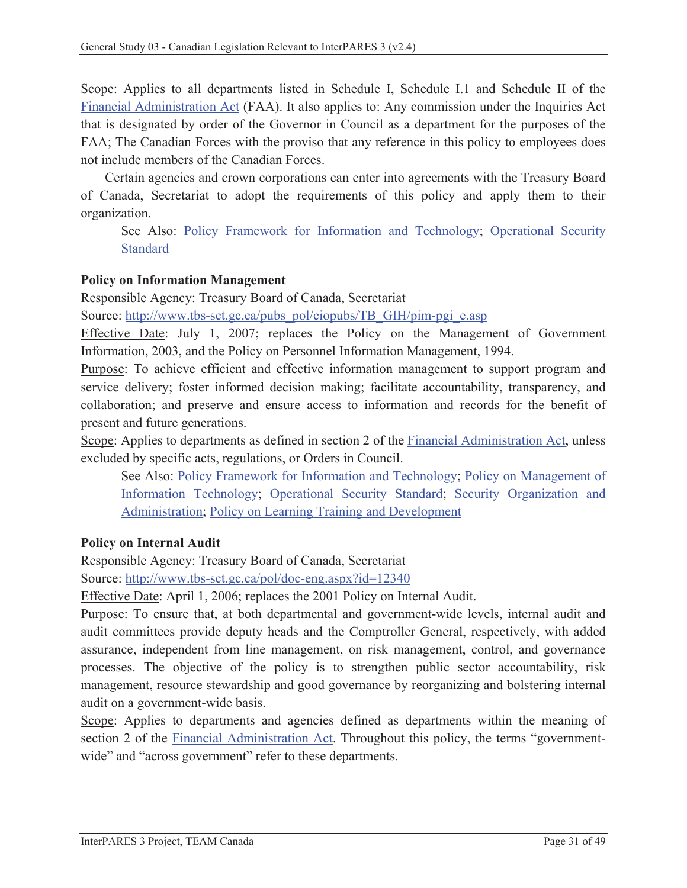Scope: Applies to all departments listed in Schedule I, Schedule I.1 and Schedule II of the Financial Administration Act (FAA). It also applies to: Any commission under the Inquiries Act that is designated by order of the Governor in Council as a department for the purposes of the FAA; The Canadian Forces with the proviso that any reference in this policy to employees does not include members of the Canadian Forces.

Certain agencies and crown corporations can enter into agreements with the Treasury Board of Canada, Secretariat to adopt the requirements of this policy and apply them to their organization.

See Also: Policy Framework for Information and Technology; Operational Security Standard

## **Policy on Information Management**

Responsible Agency: Treasury Board of Canada, Secretariat

Source: http://www.tbs-sct.gc.ca/pubs\_pol/ciopubs/TB\_GIH/pim-pgi\_e.asp

Effective Date: July 1, 2007; replaces the Policy on the Management of Government Information, 2003, and the Policy on Personnel Information Management, 1994.

Purpose: To achieve efficient and effective information management to support program and service delivery; foster informed decision making; facilitate accountability, transparency, and collaboration; and preserve and ensure access to information and records for the benefit of present and future generations.

Scope: Applies to departments as defined in section 2 of the Financial Administration Act, unless excluded by specific acts, regulations, or Orders in Council.

See Also: Policy Framework for Information and Technology; Policy on Management of Information Technology; Operational Security Standard; Security Organization and Administration; Policy on Learning Training and Development

#### **Policy on Internal Audit**

Responsible Agency: Treasury Board of Canada, Secretariat

Source: http://www.tbs-sct.gc.ca/pol/doc-eng.aspx?id=12340

Effective Date: April 1, 2006; replaces the 2001 Policy on Internal Audit.

Purpose: To ensure that, at both departmental and government-wide levels, internal audit and audit committees provide deputy heads and the Comptroller General, respectively, with added assurance, independent from line management, on risk management, control, and governance processes. The objective of the policy is to strengthen public sector accountability, risk management, resource stewardship and good governance by reorganizing and bolstering internal audit on a government-wide basis.

Scope: Applies to departments and agencies defined as departments within the meaning of section 2 of the Financial Administration Act. Throughout this policy, the terms "governmentwide" and "across government" refer to these departments.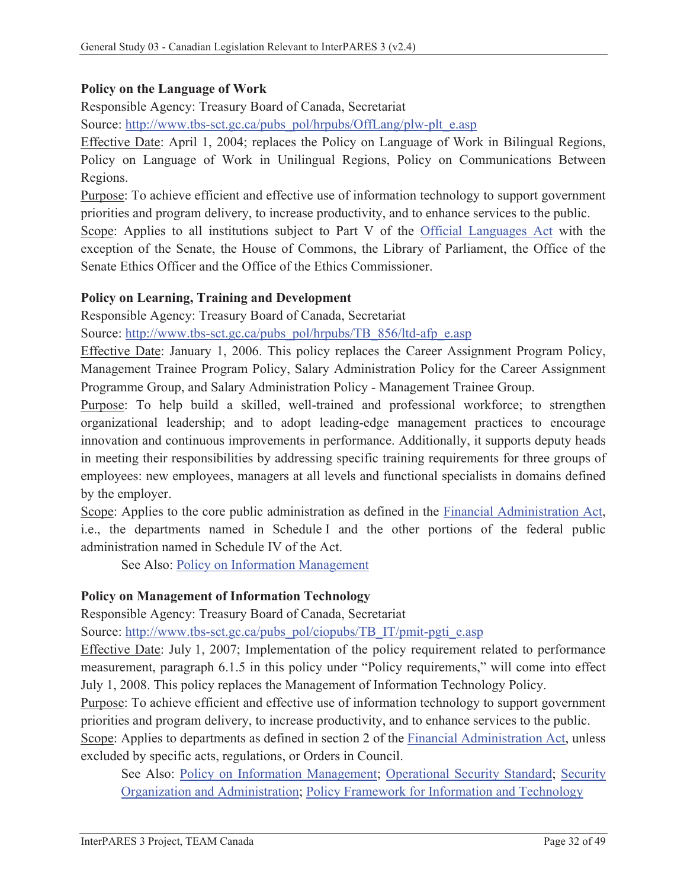#### **Policy on the Language of Work**

Responsible Agency: Treasury Board of Canada, Secretariat

Source: http://www.tbs-sct.gc.ca/pubs\_pol/hrpubs/OffLang/plw-plt\_e.asp

Effective Date: April 1, 2004; replaces the Policy on Language of Work in Bilingual Regions, Policy on Language of Work in Unilingual Regions, Policy on Communications Between Regions.

Purpose: To achieve efficient and effective use of information technology to support government priorities and program delivery, to increase productivity, and to enhance services to the public.

Scope: Applies to all institutions subject to Part V of the Official Languages Act with the exception of the Senate, the House of Commons, the Library of Parliament, the Office of the Senate Ethics Officer and the Office of the Ethics Commissioner.

#### **Policy on Learning, Training and Development**

Responsible Agency: Treasury Board of Canada, Secretariat

Source: http://www.tbs-sct.gc.ca/pubs\_pol/hrpubs/TB\_856/ltd-afp\_e.asp

Effective Date: January 1, 2006. This policy replaces the Career Assignment Program Policy, Management Trainee Program Policy, Salary Administration Policy for the Career Assignment Programme Group, and Salary Administration Policy - Management Trainee Group.

Purpose: To help build a skilled, well-trained and professional workforce; to strengthen organizational leadership; and to adopt leading-edge management practices to encourage innovation and continuous improvements in performance. Additionally, it supports deputy heads in meeting their responsibilities by addressing specific training requirements for three groups of employees: new employees, managers at all levels and functional specialists in domains defined by the employer.

Scope: Applies to the core public administration as defined in the Financial Administration Act, i.e., the departments named in Schedule I and the other portions of the federal public administration named in Schedule IV of the Act.

See Also: Policy on Information Management

#### **Policy on Management of Information Technology**

Responsible Agency: Treasury Board of Canada, Secretariat

Source: http://www.tbs-sct.gc.ca/pubs\_pol/ciopubs/TB\_IT/pmit-pgti\_e.asp

Effective Date: July 1, 2007; Implementation of the policy requirement related to performance measurement, paragraph 6.1.5 in this policy under "Policy requirements," will come into effect July 1, 2008. This policy replaces the Management of Information Technology Policy.

Purpose: To achieve efficient and effective use of information technology to support government priorities and program delivery, to increase productivity, and to enhance services to the public.

Scope: Applies to departments as defined in section 2 of the Financial Administration Act, unless excluded by specific acts, regulations, or Orders in Council.

See Also: Policy on Information Management; Operational Security Standard; Security Organization and Administration; Policy Framework for Information and Technology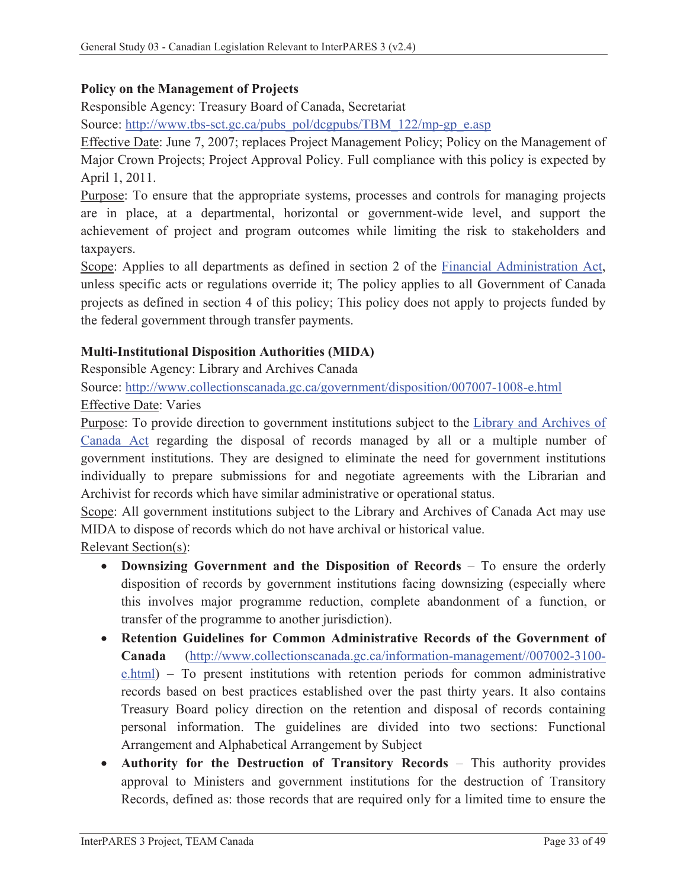#### **Policy on the Management of Projects**

Responsible Agency: Treasury Board of Canada, Secretariat

Source: http://www.tbs-sct.gc.ca/pubs\_pol/dcgpubs/TBM\_122/mp-gp\_e.asp

Effective Date: June 7, 2007; replaces Project Management Policy; Policy on the Management of Major Crown Projects; Project Approval Policy. Full compliance with this policy is expected by April 1, 2011.

Purpose: To ensure that the appropriate systems, processes and controls for managing projects are in place, at a departmental, horizontal or government-wide level, and support the achievement of project and program outcomes while limiting the risk to stakeholders and taxpayers.

Scope: Applies to all departments as defined in section 2 of the Financial Administration Act, unless specific acts or regulations override it; The policy applies to all Government of Canada projects as defined in section 4 of this policy; This policy does not apply to projects funded by the federal government through transfer payments.

### **Multi-Institutional Disposition Authorities (MIDA)**

Responsible Agency: Library and Archives Canada

Source: http://www.collectionscanada.gc.ca/government/disposition/007007-1008-e.html

Effective Date: Varies

Purpose: To provide direction to government institutions subject to the Library and Archives of Canada Act regarding the disposal of records managed by all or a multiple number of government institutions. They are designed to eliminate the need for government institutions individually to prepare submissions for and negotiate agreements with the Librarian and Archivist for records which have similar administrative or operational status.

Scope: All government institutions subject to the Library and Archives of Canada Act may use MIDA to dispose of records which do not have archival or historical value.

Relevant Section(s):

- **Downsizing Government and the Disposition of Records** To ensure the orderly disposition of records by government institutions facing downsizing (especially where this involves major programme reduction, complete abandonment of a function, or transfer of the programme to another jurisdiction).
- x **Retention Guidelines for Common Administrative Records of the Government of Canada** (http://www.collectionscanada.gc.ca/information-management//007002-3100 e.html) – To present institutions with retention periods for common administrative records based on best practices established over the past thirty years. It also contains Treasury Board policy direction on the retention and disposal of records containing personal information. The guidelines are divided into two sections: Functional Arrangement and Alphabetical Arrangement by Subject
- x **Authority for the Destruction of Transitory Records** This authority provides approval to Ministers and government institutions for the destruction of Transitory Records, defined as: those records that are required only for a limited time to ensure the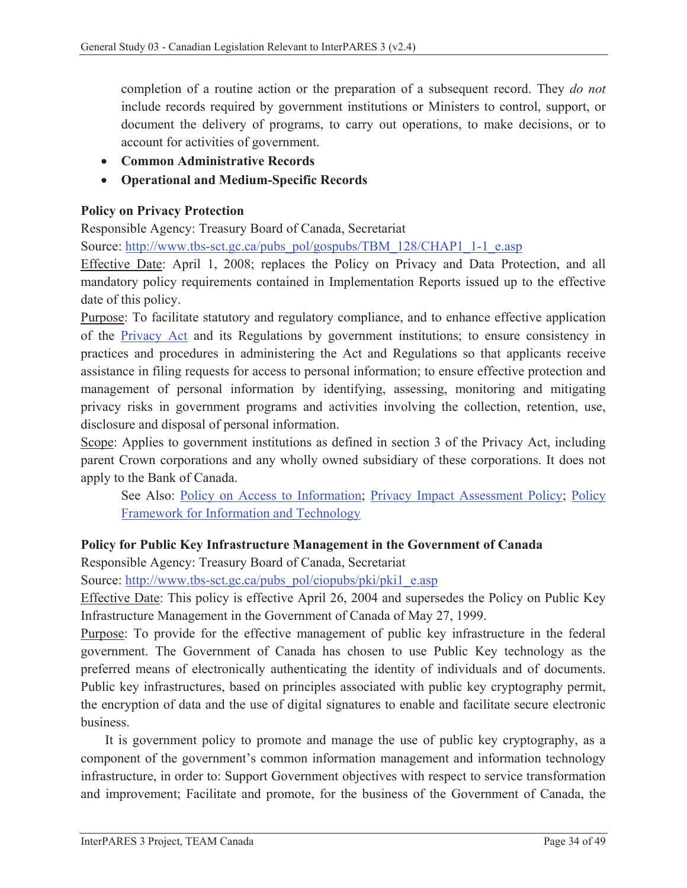completion of a routine action or the preparation of a subsequent record. They *do not* include records required by government institutions or Ministers to control, support, or document the delivery of programs, to carry out operations, to make decisions, or to account for activities of government.

- x **Common Administrative Records**
- x **Operational and Medium-Specific Records**

### **Policy on Privacy Protection**

Responsible Agency: Treasury Board of Canada, Secretariat

Source: http://www.tbs-sct.gc.ca/pubs\_pol/gospubs/TBM\_128/CHAP1\_1-1\_e.asp

Effective Date: April 1, 2008; replaces the Policy on Privacy and Data Protection, and all mandatory policy requirements contained in Implementation Reports issued up to the effective date of this policy.

Purpose: To facilitate statutory and regulatory compliance, and to enhance effective application of the Privacy Act and its Regulations by government institutions; to ensure consistency in practices and procedures in administering the Act and Regulations so that applicants receive assistance in filing requests for access to personal information; to ensure effective protection and management of personal information by identifying, assessing, monitoring and mitigating privacy risks in government programs and activities involving the collection, retention, use, disclosure and disposal of personal information.

Scope: Applies to government institutions as defined in section 3 of the Privacy Act, including parent Crown corporations and any wholly owned subsidiary of these corporations. It does not apply to the Bank of Canada.

See Also: Policy on Access to Information; Privacy Impact Assessment Policy; Policy Framework for Information and Technology

#### **Policy for Public Key Infrastructure Management in the Government of Canada**

Responsible Agency: Treasury Board of Canada, Secretariat

Source: http://www.tbs-sct.gc.ca/pubs\_pol/ciopubs/pki/pki1\_e.asp

Effective Date: This policy is effective April 26, 2004 and supersedes the Policy on Public Key Infrastructure Management in the Government of Canada of May 27, 1999.

Purpose: To provide for the effective management of public key infrastructure in the federal government. The Government of Canada has chosen to use Public Key technology as the preferred means of electronically authenticating the identity of individuals and of documents. Public key infrastructures, based on principles associated with public key cryptography permit, the encryption of data and the use of digital signatures to enable and facilitate secure electronic business.

It is government policy to promote and manage the use of public key cryptography, as a component of the government's common information management and information technology infrastructure, in order to: Support Government objectives with respect to service transformation and improvement; Facilitate and promote, for the business of the Government of Canada, the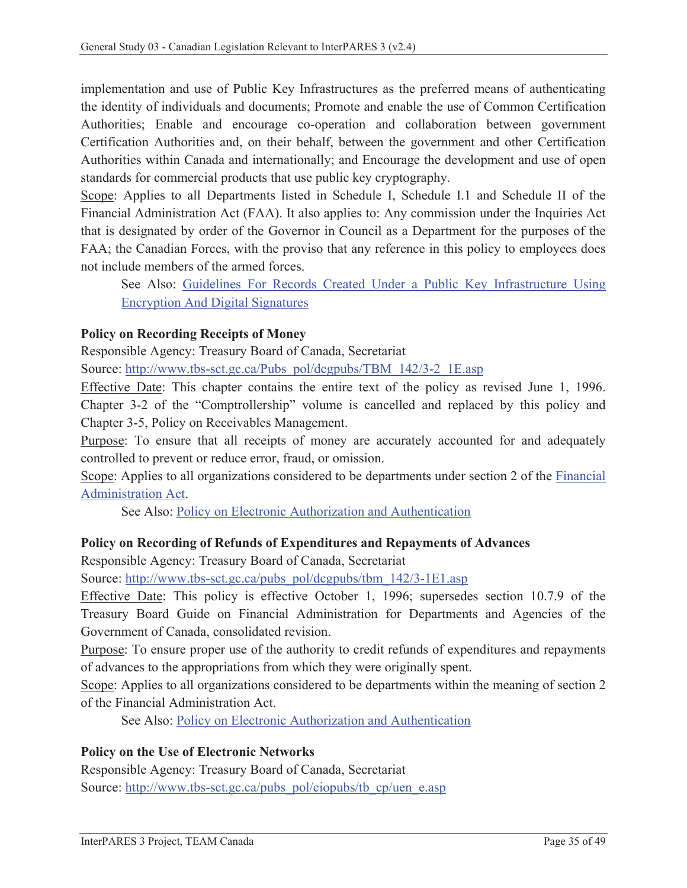implementation and use of Public Key Infrastructures as the preferred means of authenticating the identity of individuals and documents; Promote and enable the use of Common Certification Authorities; Enable and encourage co-operation and collaboration between government Certification Authorities and, on their behalf, between the government and other Certification Authorities within Canada and internationally; and Encourage the development and use of open standards for commercial products that use public key cryptography.

Scope: Applies to all Departments listed in Schedule I, Schedule I.1 and Schedule II of the Financial Administration Act (FAA). It also applies to: Any commission under the Inquiries Act that is designated by order of the Governor in Council as a Department for the purposes of the FAA; the Canadian Forces, with the proviso that any reference in this policy to employees does not include members of the armed forces.

See Also: Guidelines For Records Created Under a Public Key Infrastructure Using Encryption And Digital Signatures

### **Policy on Recording Receipts of Money**

Responsible Agency: Treasury Board of Canada, Secretariat

Source: http://www.tbs-sct.gc.ca/Pubs\_pol/dcgpubs/TBM\_142/3-2\_1E.asp

Effective Date: This chapter contains the entire text of the policy as revised June 1, 1996. Chapter 3-2 of the "Comptrollership" volume is cancelled and replaced by this policy and Chapter 3-5, Policy on Receivables Management.

Purpose: To ensure that all receipts of money are accurately accounted for and adequately controlled to prevent or reduce error, fraud, or omission.

Scope: Applies to all organizations considered to be departments under section 2 of the Financial Administration Act.

See Also: Policy on Electronic Authorization and Authentication

#### **Policy on Recording of Refunds of Expenditures and Repayments of Advances**

Responsible Agency: Treasury Board of Canada, Secretariat

Source: http://www.tbs-sct.gc.ca/pubs\_pol/dcgpubs/tbm\_142/3-1E1.asp

Effective Date: This policy is effective October 1, 1996; supersedes section 10.7.9 of the Treasury Board Guide on Financial Administration for Departments and Agencies of the Government of Canada, consolidated revision.

Purpose: To ensure proper use of the authority to credit refunds of expenditures and repayments of advances to the appropriations from which they were originally spent.

Scope: Applies to all organizations considered to be departments within the meaning of section 2 of the Financial Administration Act.

See Also: Policy on Electronic Authorization and Authentication

#### **Policy on the Use of Electronic Networks**

Responsible Agency: Treasury Board of Canada, Secretariat Source: http://www.tbs-sct.gc.ca/pubs\_pol/ciopubs/tb\_cp/uen\_e.asp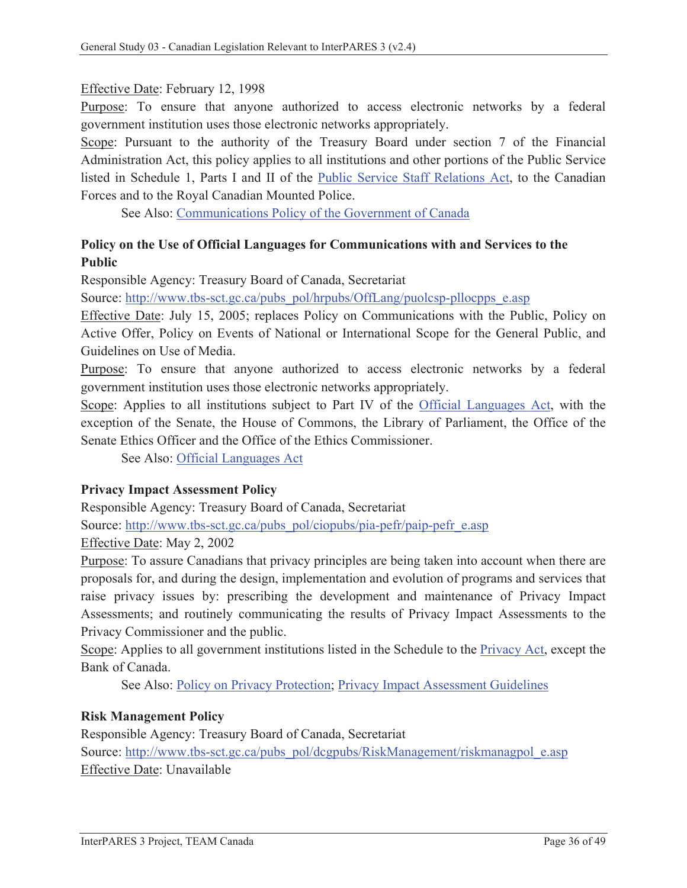#### Effective Date: February 12, 1998

Purpose: To ensure that anyone authorized to access electronic networks by a federal government institution uses those electronic networks appropriately.

Scope: Pursuant to the authority of the Treasury Board under section 7 of the Financial Administration Act, this policy applies to all institutions and other portions of the Public Service listed in Schedule 1, Parts I and II of the Public Service Staff Relations Act, to the Canadian Forces and to the Royal Canadian Mounted Police.

See Also: Communications Policy of the Government of Canada

## **Policy on the Use of Official Languages for Communications with and Services to the Public**

Responsible Agency: Treasury Board of Canada, Secretariat

Source: http://www.tbs-sct.gc.ca/pubs\_pol/hrpubs/OffLang/puolcsp-pllocpps\_e.asp

Effective Date: July 15, 2005; replaces Policy on Communications with the Public, Policy on Active Offer, Policy on Events of National or International Scope for the General Public, and Guidelines on Use of Media.

Purpose: To ensure that anyone authorized to access electronic networks by a federal government institution uses those electronic networks appropriately.

Scope: Applies to all institutions subject to Part IV of the Official Languages Act, with the exception of the Senate, the House of Commons, the Library of Parliament, the Office of the Senate Ethics Officer and the Office of the Ethics Commissioner.

See Also: Official Languages Act

#### **Privacy Impact Assessment Policy**

Responsible Agency: Treasury Board of Canada, Secretariat

Source: http://www.tbs-sct.gc.ca/pubs\_pol/ciopubs/pia-pefr/paip-pefr\_e.asp

Effective Date: May 2, 2002

Purpose: To assure Canadians that privacy principles are being taken into account when there are proposals for, and during the design, implementation and evolution of programs and services that raise privacy issues by: prescribing the development and maintenance of Privacy Impact Assessments; and routinely communicating the results of Privacy Impact Assessments to the Privacy Commissioner and the public.

Scope: Applies to all government institutions listed in the Schedule to the **Privacy Act**, except the Bank of Canada.

See Also: Policy on Privacy Protection; Privacy Impact Assessment Guidelines

#### **Risk Management Policy**

Responsible Agency: Treasury Board of Canada, Secretariat Source: http://www.tbs-sct.gc.ca/pubs\_pol/dcgpubs/RiskManagement/riskmanagpol\_e.asp Effective Date: Unavailable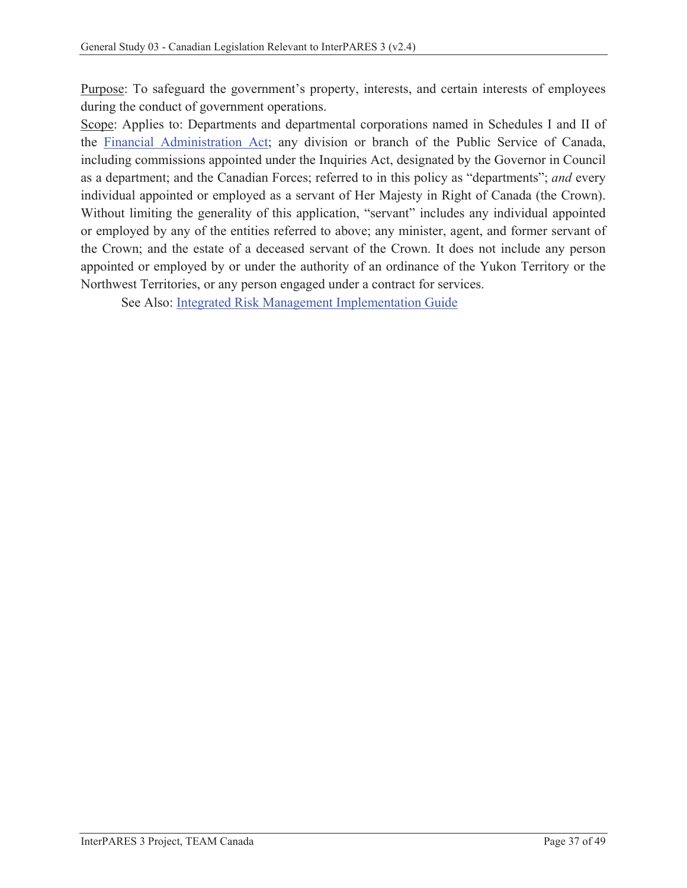Purpose: To safeguard the government's property, interests, and certain interests of employees during the conduct of government operations.

Scope: Applies to: Departments and departmental corporations named in Schedules I and II of the Financial Administration Act; any division or branch of the Public Service of Canada, including commissions appointed under the Inquiries Act, designated by the Governor in Council as a department; and the Canadian Forces; referred to in this policy as "departments"; *and* every individual appointed or employed as a servant of Her Majesty in Right of Canada (the Crown). Without limiting the generality of this application, "servant" includes any individual appointed or employed by any of the entities referred to above; any minister, agent, and former servant of the Crown; and the estate of a deceased servant of the Crown. It does not include any person appointed or employed by or under the authority of an ordinance of the Yukon Territory or the Northwest Territories, or any person engaged under a contract for services.

See Also: Integrated Risk Management Implementation Guide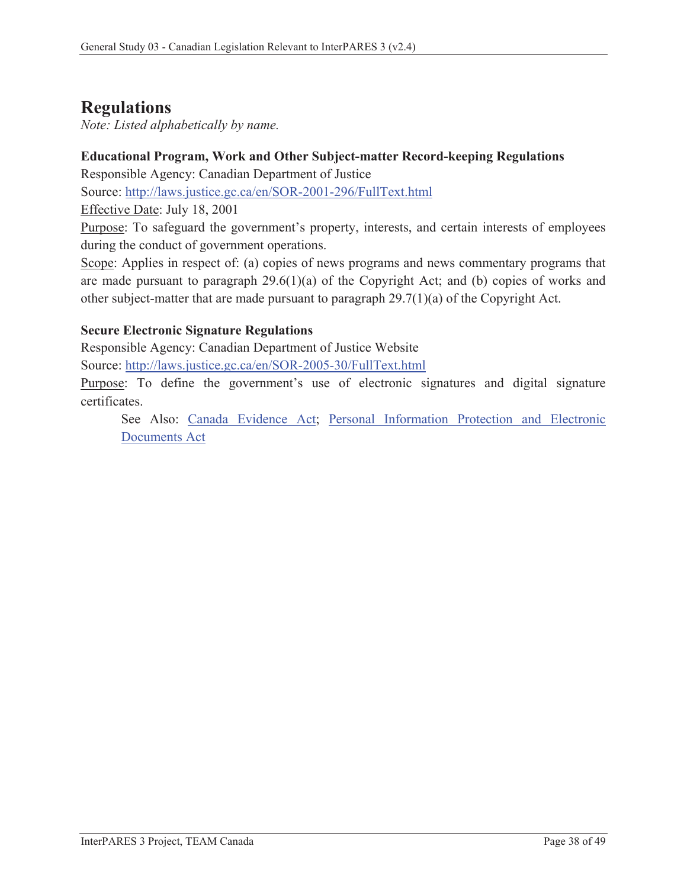# **Regulations**

*Note: Listed alphabetically by name.*

### **Educational Program, Work and Other Subject-matter Record-keeping Regulations**

Responsible Agency: Canadian Department of Justice

Source: http://laws.justice.gc.ca/en/SOR-2001-296/FullText.html

Effective Date: July 18, 2001

Purpose: To safeguard the government's property, interests, and certain interests of employees during the conduct of government operations.

Scope: Applies in respect of: (a) copies of news programs and news commentary programs that are made pursuant to paragraph  $29.6(1)(a)$  of the Copyright Act; and (b) copies of works and other subject-matter that are made pursuant to paragraph 29.7(1)(a) of the Copyright Act.

### **Secure Electronic Signature Regulations**

Responsible Agency: Canadian Department of Justice Website

Source: http://laws.justice.gc.ca/en/SOR-2005-30/FullText.html

Purpose: To define the government's use of electronic signatures and digital signature certificates.

See Also: Canada Evidence Act; Personal Information Protection and Electronic Documents Act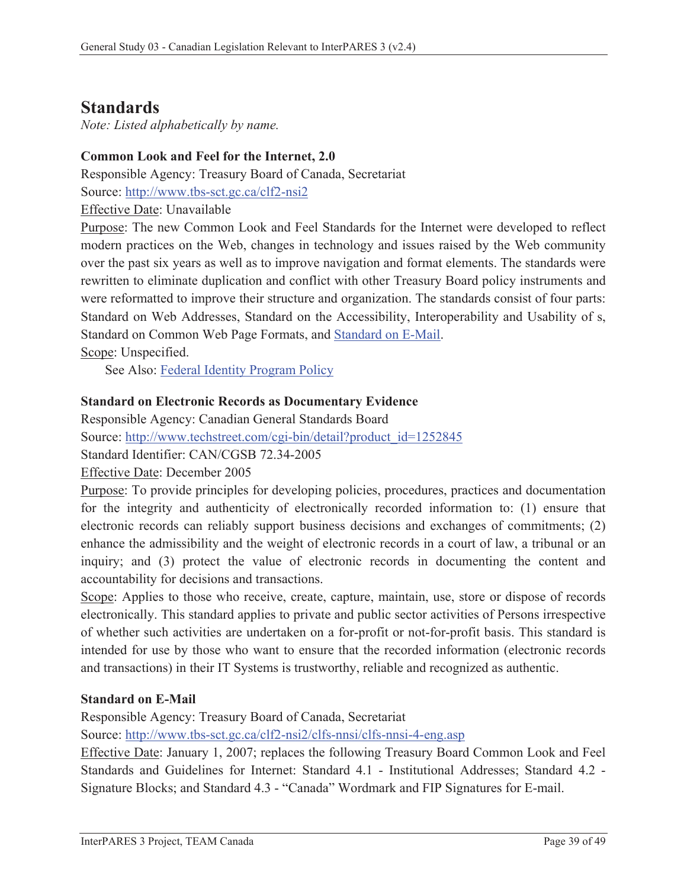## **Standards**

*Note: Listed alphabetically by name.* 

## **Common Look and Feel for the Internet, 2.0**

Responsible Agency: Treasury Board of Canada, Secretariat

Source: http://www.tbs-sct.gc.ca/clf2-nsi2

Effective Date: Unavailable

Purpose: The new Common Look and Feel Standards for the Internet were developed to reflect modern practices on the Web, changes in technology and issues raised by the Web community over the past six years as well as to improve navigation and format elements. The standards were rewritten to eliminate duplication and conflict with other Treasury Board policy instruments and were reformatted to improve their structure and organization. The standards consist of four parts: Standard on Web Addresses, Standard on the Accessibility, Interoperability and Usability of s, Standard on Common Web Page Formats, and Standard on E-Mail.

Scope: Unspecified.

See Also: Federal Identity Program Policy

### **Standard on Electronic Records as Documentary Evidence**

Responsible Agency: Canadian General Standards Board

Source: http://www.techstreet.com/cgi-bin/detail?product\_id=1252845

Standard Identifier: CAN/CGSB 72.34-2005

Effective Date: December 2005

Purpose: To provide principles for developing policies, procedures, practices and documentation for the integrity and authenticity of electronically recorded information to: (1) ensure that electronic records can reliably support business decisions and exchanges of commitments; (2) enhance the admissibility and the weight of electronic records in a court of law, a tribunal or an inquiry; and (3) protect the value of electronic records in documenting the content and accountability for decisions and transactions.

Scope: Applies to those who receive, create, capture, maintain, use, store or dispose of records electronically. This standard applies to private and public sector activities of Persons irrespective of whether such activities are undertaken on a for-profit or not-for-profit basis. This standard is intended for use by those who want to ensure that the recorded information (electronic records and transactions) in their IT Systems is trustworthy, reliable and recognized as authentic.

#### **Standard on E-Mail**

Responsible Agency: Treasury Board of Canada, Secretariat

Source: http://www.tbs-sct.gc.ca/clf2-nsi2/clfs-nnsi/clfs-nnsi-4-eng.asp

Effective Date: January 1, 2007; replaces the following Treasury Board Common Look and Feel Standards and Guidelines for Internet: Standard 4.1 - Institutional Addresses; Standard 4.2 - Signature Blocks; and Standard 4.3 - "Canada" Wordmark and FIP Signatures for E-mail.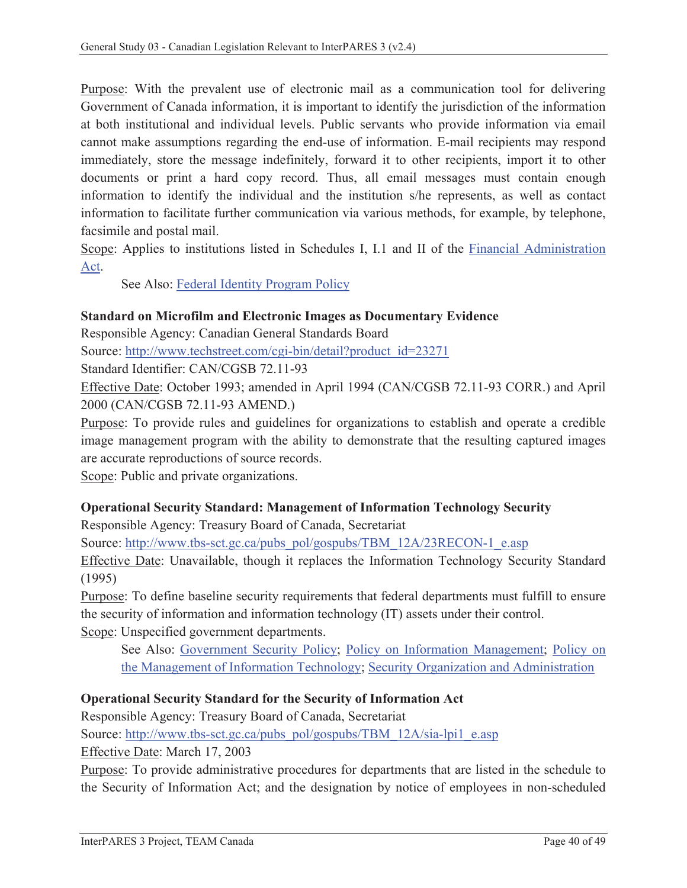Purpose: With the prevalent use of electronic mail as a communication tool for delivering Government of Canada information, it is important to identify the jurisdiction of the information at both institutional and individual levels. Public servants who provide information via email cannot make assumptions regarding the end-use of information. E-mail recipients may respond immediately, store the message indefinitely, forward it to other recipients, import it to other documents or print a hard copy record. Thus, all email messages must contain enough information to identify the individual and the institution s/he represents, as well as contact information to facilitate further communication via various methods, for example, by telephone, facsimile and postal mail.

Scope: Applies to institutions listed in Schedules I, I.1 and II of the Financial Administration Act.

See Also: Federal Identity Program Policy

#### **Standard on Microfilm and Electronic Images as Documentary Evidence**

Responsible Agency: Canadian General Standards Board

Source: http://www.techstreet.com/cgi-bin/detail?product\_id=23271

Standard Identifier: CAN/CGSB 72.11-93

Effective Date: October 1993; amended in April 1994 (CAN/CGSB 72.11-93 CORR.) and April 2000 (CAN/CGSB 72.11-93 AMEND.)

Purpose: To provide rules and guidelines for organizations to establish and operate a credible image management program with the ability to demonstrate that the resulting captured images are accurate reproductions of source records.

Scope: Public and private organizations.

## **Operational Security Standard: Management of Information Technology Security**

Responsible Agency: Treasury Board of Canada, Secretariat

Source: http://www.tbs-sct.gc.ca/pubs\_pol/gospubs/TBM\_12A/23RECON-1\_e.asp

Effective Date: Unavailable, though it replaces the Information Technology Security Standard (1995)

Purpose: To define baseline security requirements that federal departments must fulfill to ensure the security of information and information technology (IT) assets under their control. Scope: Unspecified government departments.

See Also: Government Security Policy; Policy on Information Management; Policy on the Management of Information Technology; Security Organization and Administration

## **Operational Security Standard for the Security of Information Act**

Responsible Agency: Treasury Board of Canada, Secretariat Source: http://www.tbs-sct.gc.ca/pubs\_pol/gospubs/TBM\_12A/sia-lpi1\_e.asp Effective Date: March 17, 2003

Purpose: To provide administrative procedures for departments that are listed in the schedule to the Security of Information Act; and the designation by notice of employees in non-scheduled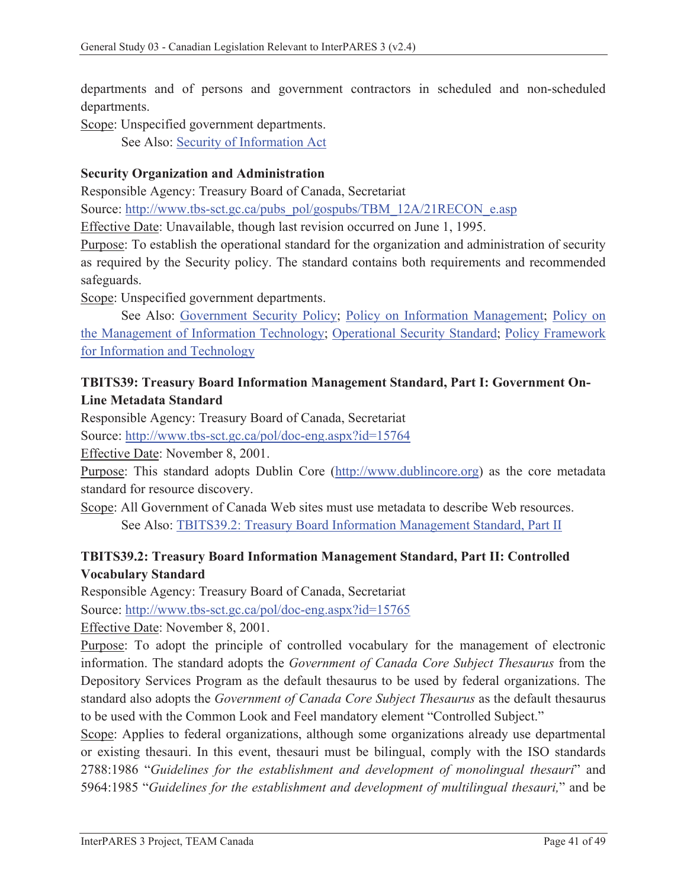departments and of persons and government contractors in scheduled and non-scheduled departments.

Scope: Unspecified government departments.

See Also: Security of Information Act

#### **Security Organization and Administration**

Responsible Agency: Treasury Board of Canada, Secretariat

Source: http://www.tbs-sct.gc.ca/pubs\_pol/gospubs/TBM\_12A/21RECON\_e.asp

Effective Date: Unavailable, though last revision occurred on June 1, 1995.

Purpose: To establish the operational standard for the organization and administration of security as required by the Security policy. The standard contains both requirements and recommended safeguards.

Scope: Unspecified government departments.

 See Also: Government Security Policy; Policy on Information Management; Policy on the Management of Information Technology; Operational Security Standard; Policy Framework for Information and Technology

## **TBITS39: Treasury Board Information Management Standard, Part I: Government On-Line Metadata Standard**

Responsible Agency: Treasury Board of Canada, Secretariat

Source: http://www.tbs-sct.gc.ca/pol/doc-eng.aspx?id=15764

Effective Date: November 8, 2001.

Purpose: This standard adopts Dublin Core (http://www.dublincore.org) as the core metadata standard for resource discovery.

Scope: All Government of Canada Web sites must use metadata to describe Web resources. See Also: TBITS39.2: Treasury Board Information Management Standard, Part II

## **TBITS39.2: Treasury Board Information Management Standard, Part II: Controlled Vocabulary Standard**

Responsible Agency: Treasury Board of Canada, Secretariat Source: http://www.tbs-sct.gc.ca/pol/doc-eng.aspx?id=15765 Effective Date: November 8, 2001.

Purpose: To adopt the principle of controlled vocabulary for the management of electronic information. The standard adopts the *Government of Canada Core Subject Thesaurus* from the Depository Services Program as the default thesaurus to be used by federal organizations. The standard also adopts the *Government of Canada Core Subject Thesaurus* as the default thesaurus to be used with the Common Look and Feel mandatory element "Controlled Subject."

Scope: Applies to federal organizations, although some organizations already use departmental or existing thesauri. In this event, thesauri must be bilingual, comply with the ISO standards 2788:1986 "*Guidelines for the establishment and development of monolingual thesauri*" and 5964:1985 "*Guidelines for the establishment and development of multilingual thesauri,*" and be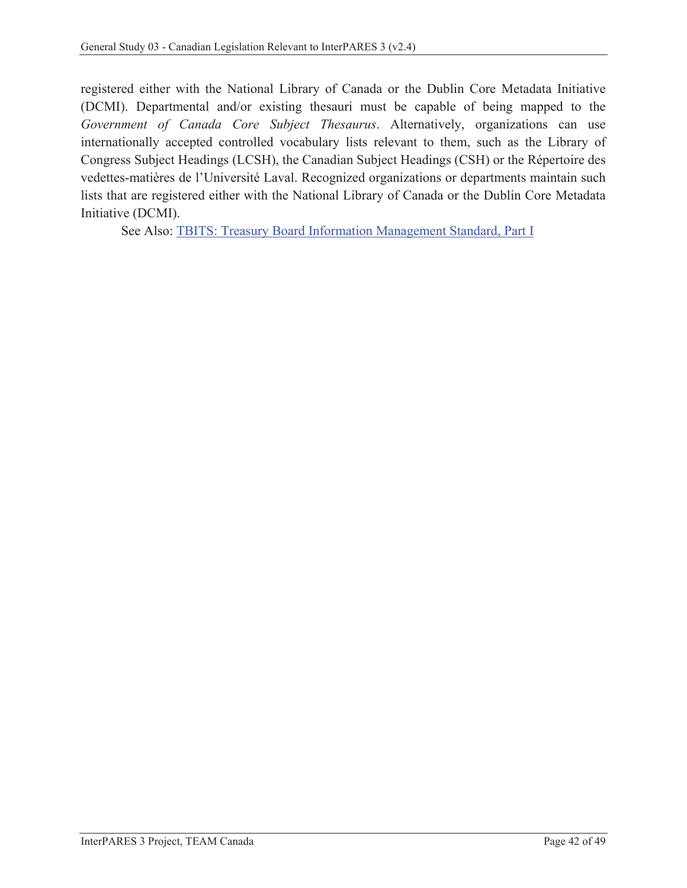registered either with the National Library of Canada or the Dublin Core Metadata Initiative (DCMI). Departmental and/or existing thesauri must be capable of being mapped to the *Government of Canada Core Subject Thesaurus*. Alternatively, organizations can use internationally accepted controlled vocabulary lists relevant to them, such as the Library of Congress Subject Headings (LCSH), the Canadian Subject Headings (CSH) or the Répertoire des vedettes-matières de l'Université Laval. Recognized organizations or departments maintain such lists that are registered either with the National Library of Canada or the Dublin Core Metadata Initiative (DCMI).

See Also: TBITS: Treasury Board Information Management Standard, Part I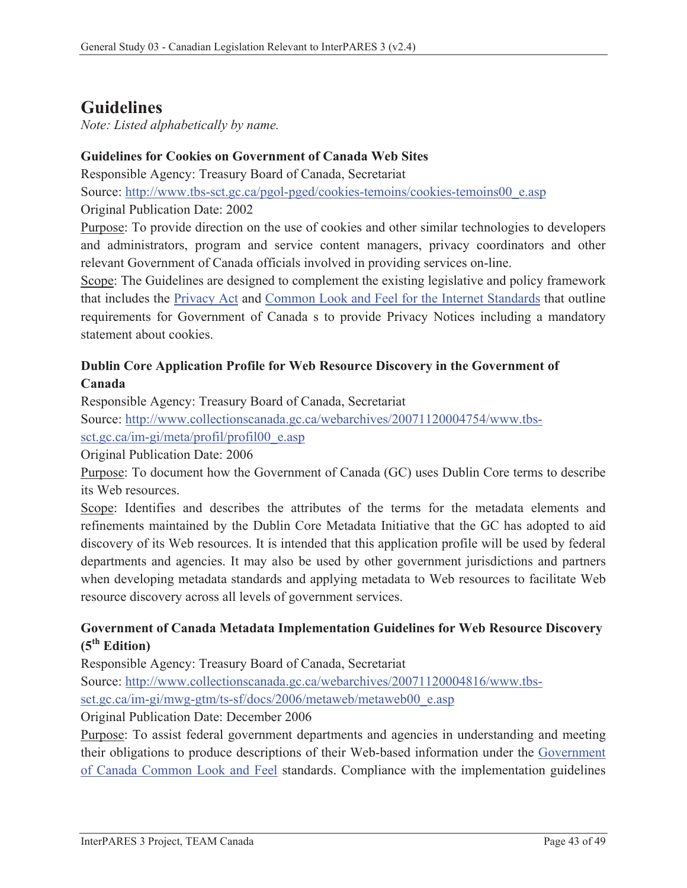# **Guidelines**

*Note: Listed alphabetically by name.* 

## **Guidelines for Cookies on Government of Canada Web Sites**

Responsible Agency: Treasury Board of Canada, Secretariat

Source: http://www.tbs-sct.gc.ca/pgol-pged/cookies-temoins/cookies-temoins00\_e.asp

Original Publication Date: 2002

Purpose: To provide direction on the use of cookies and other similar technologies to developers and administrators, program and service content managers, privacy coordinators and other relevant Government of Canada officials involved in providing services on-line.

Scope: The Guidelines are designed to complement the existing legislative and policy framework that includes the Privacy Act and Common Look and Feel for the Internet Standards that outline requirements for Government of Canada s to provide Privacy Notices including a mandatory statement about cookies.

## **Dublin Core Application Profile for Web Resource Discovery in the Government of Canada**

Responsible Agency: Treasury Board of Canada, Secretariat

Source: http://www.collectionscanada.gc.ca/webarchives/20071120004754/www.tbs-

sct.gc.ca/im-gi/meta/profil/profil00\_e.asp

Original Publication Date: 2006

Purpose: To document how the Government of Canada (GC) uses Dublin Core terms to describe its Web resources.

Scope: Identifies and describes the attributes of the terms for the metadata elements and refinements maintained by the Dublin Core Metadata Initiative that the GC has adopted to aid discovery of its Web resources. It is intended that this application profile will be used by federal departments and agencies. It may also be used by other government jurisdictions and partners when developing metadata standards and applying metadata to Web resources to facilitate Web resource discovery across all levels of government services.

### **Government of Canada Metadata Implementation Guidelines for Web Resource Discovery (5th Edition)**

Responsible Agency: Treasury Board of Canada, Secretariat

Source: http://www.collectionscanada.gc.ca/webarchives/20071120004816/www.tbs-

sct.gc.ca/im-gi/mwg-gtm/ts-sf/docs/2006/metaweb/metaweb00\_e.asp

Original Publication Date: December 2006

Purpose: To assist federal government departments and agencies in understanding and meeting their obligations to produce descriptions of their Web-based information under the Government of Canada Common Look and Feel standards. Compliance with the implementation guidelines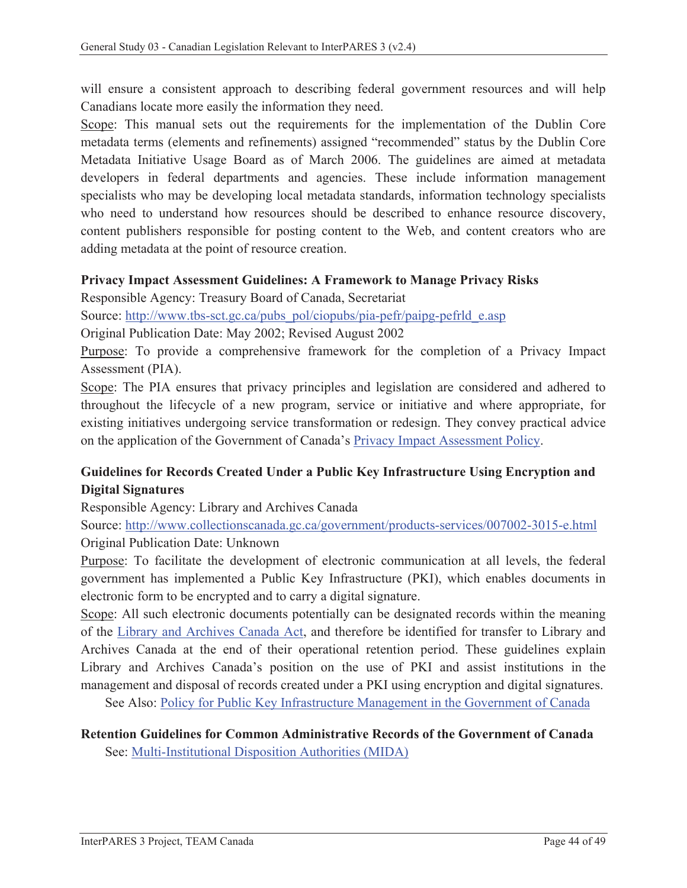will ensure a consistent approach to describing federal government resources and will help Canadians locate more easily the information they need.

Scope: This manual sets out the requirements for the implementation of the Dublin Core metadata terms (elements and refinements) assigned "recommended" status by the Dublin Core Metadata Initiative Usage Board as of March 2006. The guidelines are aimed at metadata developers in federal departments and agencies. These include information management specialists who may be developing local metadata standards, information technology specialists who need to understand how resources should be described to enhance resource discovery, content publishers responsible for posting content to the Web, and content creators who are adding metadata at the point of resource creation.

#### **Privacy Impact Assessment Guidelines: A Framework to Manage Privacy Risks**

Responsible Agency: Treasury Board of Canada, Secretariat

Source: http://www.tbs-sct.gc.ca/pubs\_pol/ciopubs/pia-pefr/paipg-pefrld\_e.asp

Original Publication Date: May 2002; Revised August 2002

Purpose: To provide a comprehensive framework for the completion of a Privacy Impact Assessment (PIA).

Scope: The PIA ensures that privacy principles and legislation are considered and adhered to throughout the lifecycle of a new program, service or initiative and where appropriate, for existing initiatives undergoing service transformation or redesign. They convey practical advice on the application of the Government of Canada's Privacy Impact Assessment Policy.

## **Guidelines for Records Created Under a Public Key Infrastructure Using Encryption and Digital Signatures**

Responsible Agency: Library and Archives Canada

Source: http://www.collectionscanada.gc.ca/government/products-services/007002-3015-e.html Original Publication Date: Unknown

Purpose: To facilitate the development of electronic communication at all levels, the federal government has implemented a Public Key Infrastructure (PKI), which enables documents in electronic form to be encrypted and to carry a digital signature.

Scope: All such electronic documents potentially can be designated records within the meaning of the Library and Archives Canada Act, and therefore be identified for transfer to Library and Archives Canada at the end of their operational retention period. These guidelines explain Library and Archives Canada's position on the use of PKI and assist institutions in the management and disposal of records created under a PKI using encryption and digital signatures.

See Also: Policy for Public Key Infrastructure Management in the Government of Canada

#### **Retention Guidelines for Common Administrative Records of the Government of Canada**  See: Multi-Institutional Disposition Authorities (MIDA)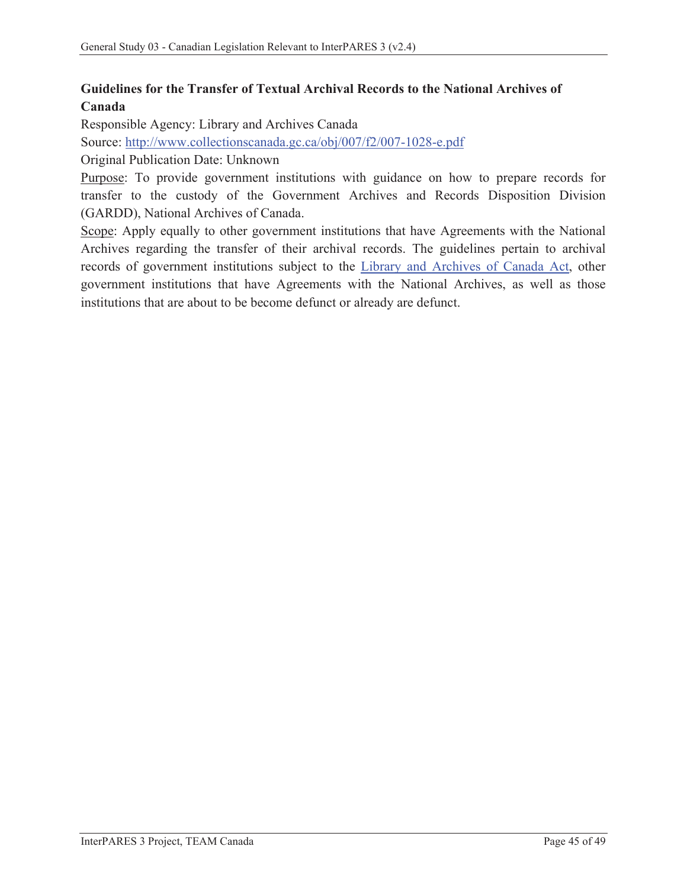## **Guidelines for the Transfer of Textual Archival Records to the National Archives of Canada**

Responsible Agency: Library and Archives Canada

Source: http://www.collectionscanada.gc.ca/obj/007/f2/007-1028-e.pdf

Original Publication Date: Unknown

Purpose: To provide government institutions with guidance on how to prepare records for transfer to the custody of the Government Archives and Records Disposition Division (GARDD), National Archives of Canada.

Scope: Apply equally to other government institutions that have Agreements with the National Archives regarding the transfer of their archival records. The guidelines pertain to archival records of government institutions subject to the Library and Archives of Canada Act, other government institutions that have Agreements with the National Archives, as well as those institutions that are about to be become defunct or already are defunct.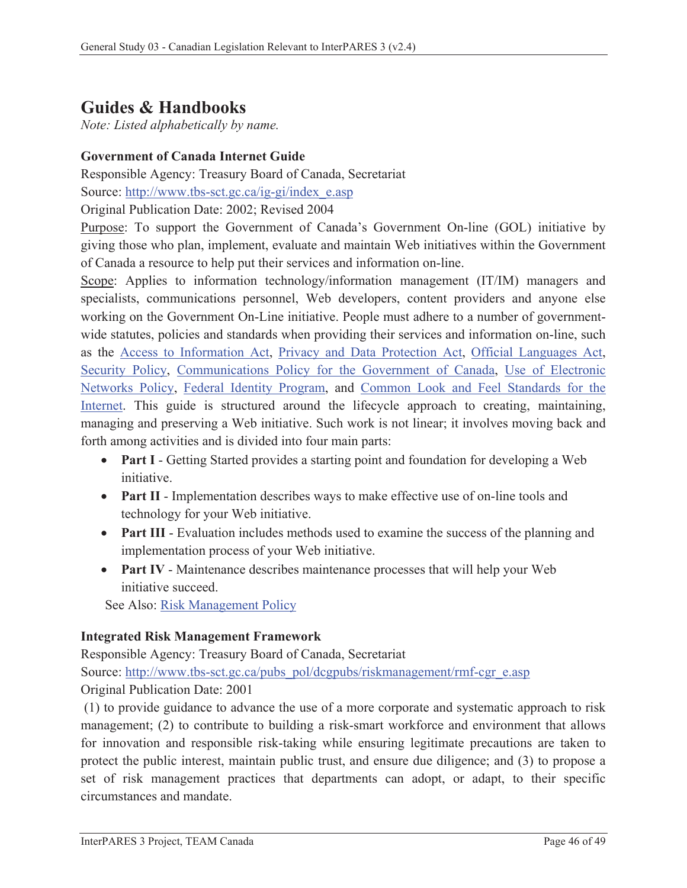# **Guides & Handbooks**

*Note: Listed alphabetically by name.* 

## **Government of Canada Internet Guide**

Responsible Agency: Treasury Board of Canada, Secretariat

Source: http://www.tbs-sct.gc.ca/ig-gi/index\_e.asp

Original Publication Date: 2002; Revised 2004

Purpose: To support the Government of Canada's Government On-line (GOL) initiative by giving those who plan, implement, evaluate and maintain Web initiatives within the Government of Canada a resource to help put their services and information on-line.

Scope: Applies to information technology/information management (IT/IM) managers and specialists, communications personnel, Web developers, content providers and anyone else working on the Government On-Line initiative. People must adhere to a number of governmentwide statutes, policies and standards when providing their services and information on-line, such as the Access to Information Act, Privacy and Data Protection Act, Official Languages Act, Security Policy, Communications Policy for the Government of Canada, Use of Electronic Networks Policy, Federal Identity Program, and Common Look and Feel Standards for the Internet. This guide is structured around the lifecycle approach to creating, maintaining, managing and preserving a Web initiative. Such work is not linear; it involves moving back and forth among activities and is divided into four main parts:

- **Part I** Getting Started provides a starting point and foundation for developing a Web initiative.
- Part II Implementation describes ways to make effective use of on-line tools and technology for your Web initiative.
- Part III Evaluation includes methods used to examine the success of the planning and implementation process of your Web initiative.
- Part IV Maintenance describes maintenance processes that will help your Web initiative succeed.

See Also: Risk Management Policy

#### **Integrated Risk Management Framework**

Responsible Agency: Treasury Board of Canada, Secretariat Source: http://www.tbs-sct.gc.ca/pubs\_pol/dcgpubs/riskmanagement/rmf-cgr\_e.asp Original Publication Date: 2001

 (1) to provide guidance to advance the use of a more corporate and systematic approach to risk management; (2) to contribute to building a risk-smart workforce and environment that allows for innovation and responsible risk-taking while ensuring legitimate precautions are taken to protect the public interest, maintain public trust, and ensure due diligence; and (3) to propose a set of risk management practices that departments can adopt, or adapt, to their specific circumstances and mandate.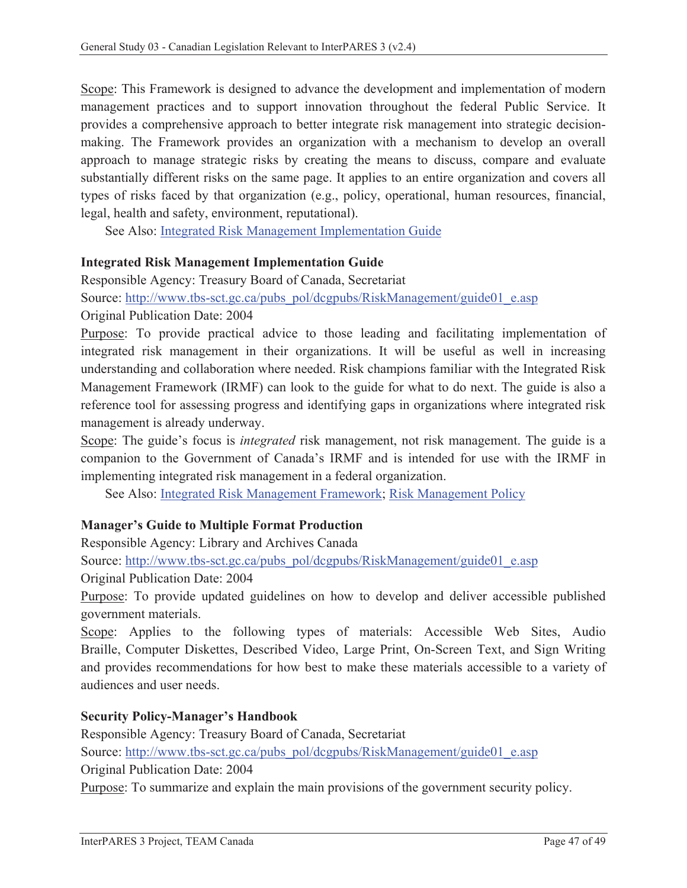Scope: This Framework is designed to advance the development and implementation of modern management practices and to support innovation throughout the federal Public Service. It provides a comprehensive approach to better integrate risk management into strategic decisionmaking. The Framework provides an organization with a mechanism to develop an overall approach to manage strategic risks by creating the means to discuss, compare and evaluate substantially different risks on the same page. It applies to an entire organization and covers all types of risks faced by that organization (e.g., policy, operational, human resources, financial, legal, health and safety, environment, reputational).

See Also: Integrated Risk Management Implementation Guide

#### **Integrated Risk Management Implementation Guide**

Responsible Agency: Treasury Board of Canada, Secretariat

Source: http://www.tbs-sct.gc.ca/pubs\_pol/dcgpubs/RiskManagement/guide01\_e.asp

Original Publication Date: 2004

Purpose: To provide practical advice to those leading and facilitating implementation of integrated risk management in their organizations. It will be useful as well in increasing understanding and collaboration where needed. Risk champions familiar with the Integrated Risk Management Framework (IRMF) can look to the guide for what to do next. The guide is also a reference tool for assessing progress and identifying gaps in organizations where integrated risk management is already underway.

Scope: The guide's focus is *integrated* risk management, not risk management. The guide is a companion to the Government of Canada's IRMF and is intended for use with the IRMF in implementing integrated risk management in a federal organization.

See Also: Integrated Risk Management Framework; Risk Management Policy

#### **Manager's Guide to Multiple Format Production**

Responsible Agency: Library and Archives Canada

Source: http://www.tbs-sct.gc.ca/pubs\_pol/dcgpubs/RiskManagement/guide01\_e.asp

Original Publication Date: 2004

Purpose: To provide updated guidelines on how to develop and deliver accessible published government materials.

Scope: Applies to the following types of materials: Accessible Web Sites, Audio Braille, Computer Diskettes, Described Video, Large Print, On-Screen Text, and Sign Writing and provides recommendations for how best to make these materials accessible to a variety of audiences and user needs.

#### **Security Policy-Manager's Handbook**

Responsible Agency: Treasury Board of Canada, Secretariat Source: http://www.tbs-sct.gc.ca/pubs\_pol/dcgpubs/RiskManagement/guide01\_e.asp Original Publication Date: 2004

Purpose: To summarize and explain the main provisions of the government security policy.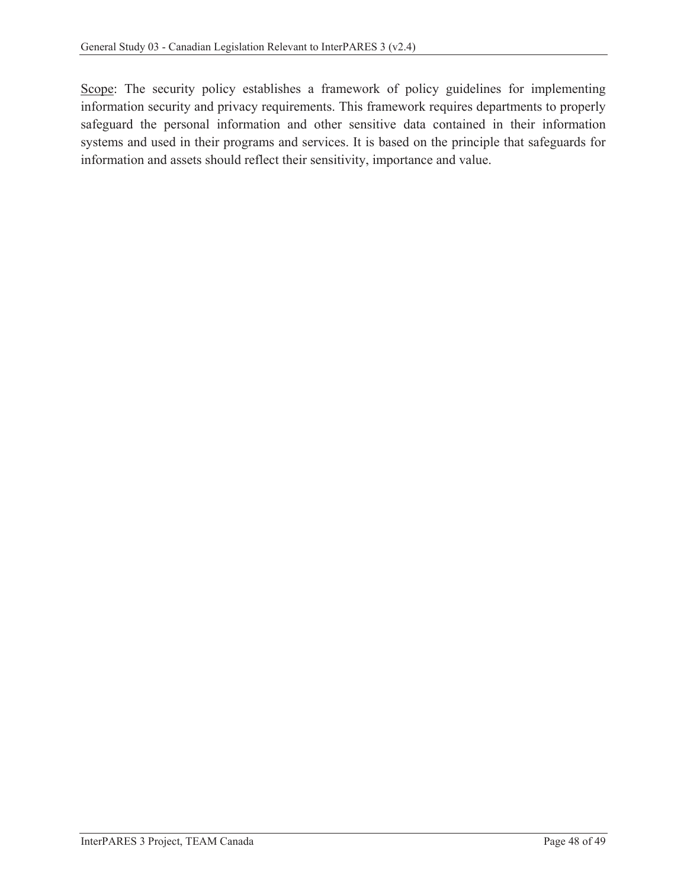Scope: The security policy establishes a framework of policy guidelines for implementing information security and privacy requirements. This framework requires departments to properly safeguard the personal information and other sensitive data contained in their information systems and used in their programs and services. It is based on the principle that safeguards for information and assets should reflect their sensitivity, importance and value.